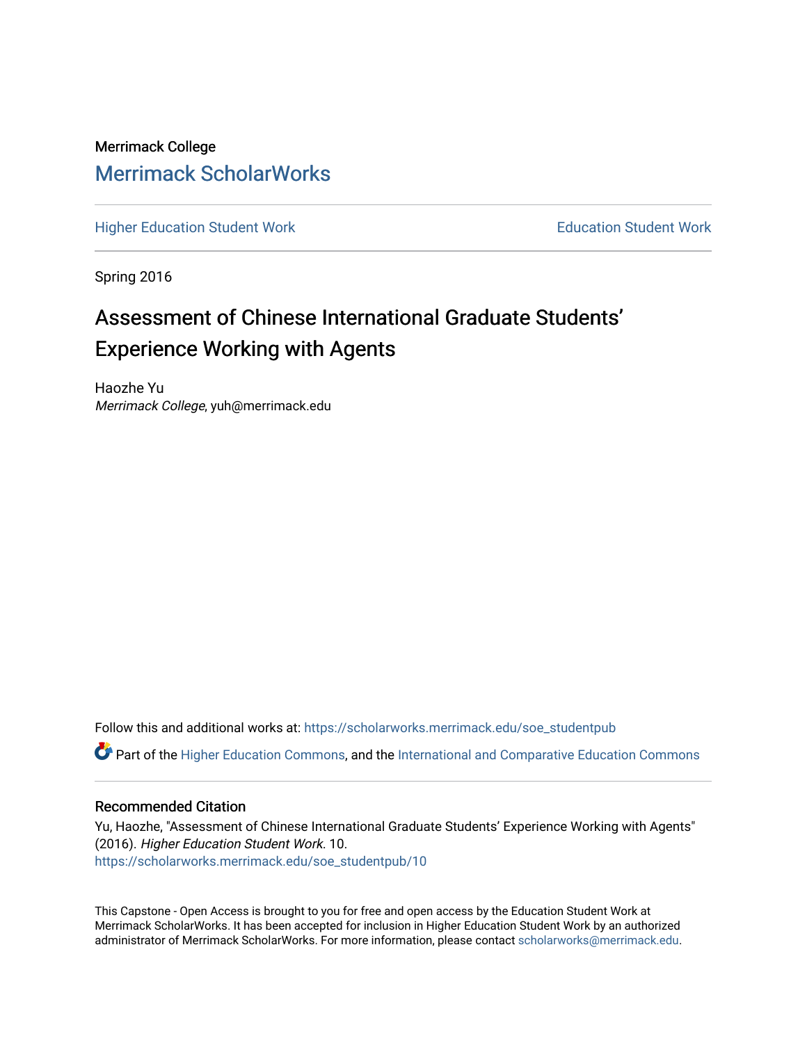Merrimack College [Merrimack ScholarWorks](https://scholarworks.merrimack.edu/) 

[Higher Education Student Work](https://scholarworks.merrimack.edu/soe_studentpub) **Education Student Work** Education Student Work

Spring 2016

# Assessment of Chinese International Graduate Students' Experience Working with Agents

Haozhe Yu Merrimack College, yuh@merrimack.edu

Follow this and additional works at: [https://scholarworks.merrimack.edu/soe\\_studentpub](https://scholarworks.merrimack.edu/soe_studentpub?utm_source=scholarworks.merrimack.edu%2Fsoe_studentpub%2F10&utm_medium=PDF&utm_campaign=PDFCoverPages) 

Part of the [Higher Education Commons,](http://network.bepress.com/hgg/discipline/1245?utm_source=scholarworks.merrimack.edu%2Fsoe_studentpub%2F10&utm_medium=PDF&utm_campaign=PDFCoverPages) and the [International and Comparative Education Commons](http://network.bepress.com/hgg/discipline/797?utm_source=scholarworks.merrimack.edu%2Fsoe_studentpub%2F10&utm_medium=PDF&utm_campaign=PDFCoverPages)

### Recommended Citation

Yu, Haozhe, "Assessment of Chinese International Graduate Students' Experience Working with Agents" (2016). Higher Education Student Work. 10. [https://scholarworks.merrimack.edu/soe\\_studentpub/10](https://scholarworks.merrimack.edu/soe_studentpub/10?utm_source=scholarworks.merrimack.edu%2Fsoe_studentpub%2F10&utm_medium=PDF&utm_campaign=PDFCoverPages) 

This Capstone - Open Access is brought to you for free and open access by the Education Student Work at Merrimack ScholarWorks. It has been accepted for inclusion in Higher Education Student Work by an authorized administrator of Merrimack ScholarWorks. For more information, please contact [scholarworks@merrimack.edu](mailto:scholarworks@merrimack.edu).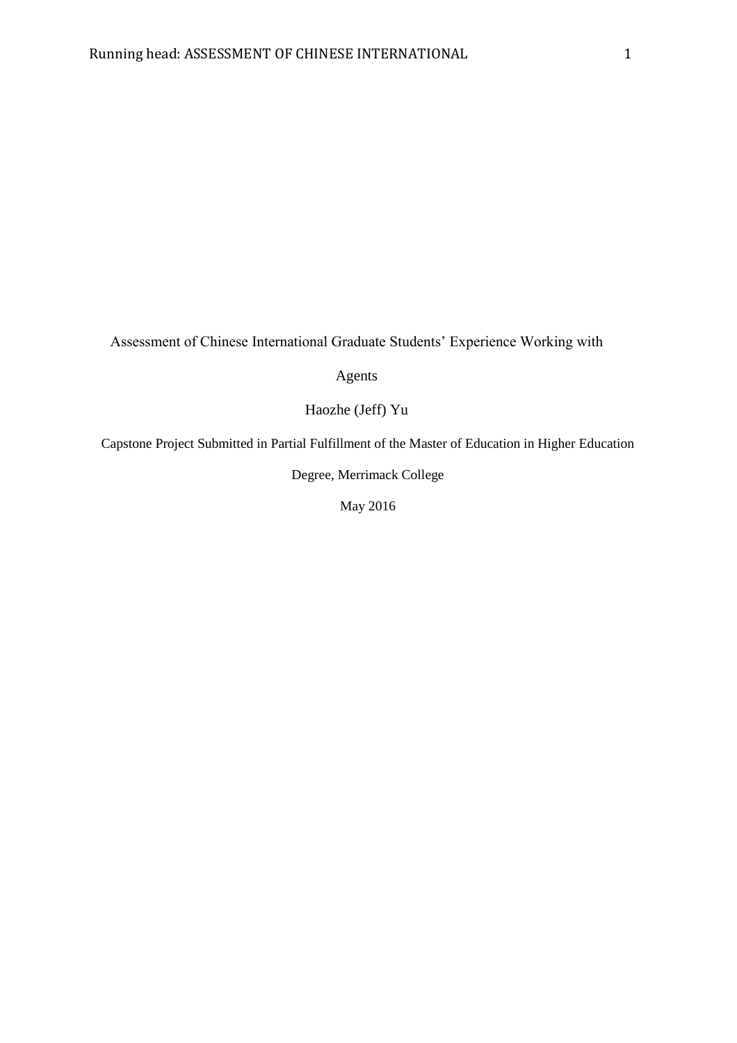Assessment of Chinese International Graduate Students' Experience Working with

Agents

Haozhe (Jeff) Yu

Capstone Project Submitted in Partial Fulfillment of the Master of Education in Higher Education

Degree, Merrimack College

May 2016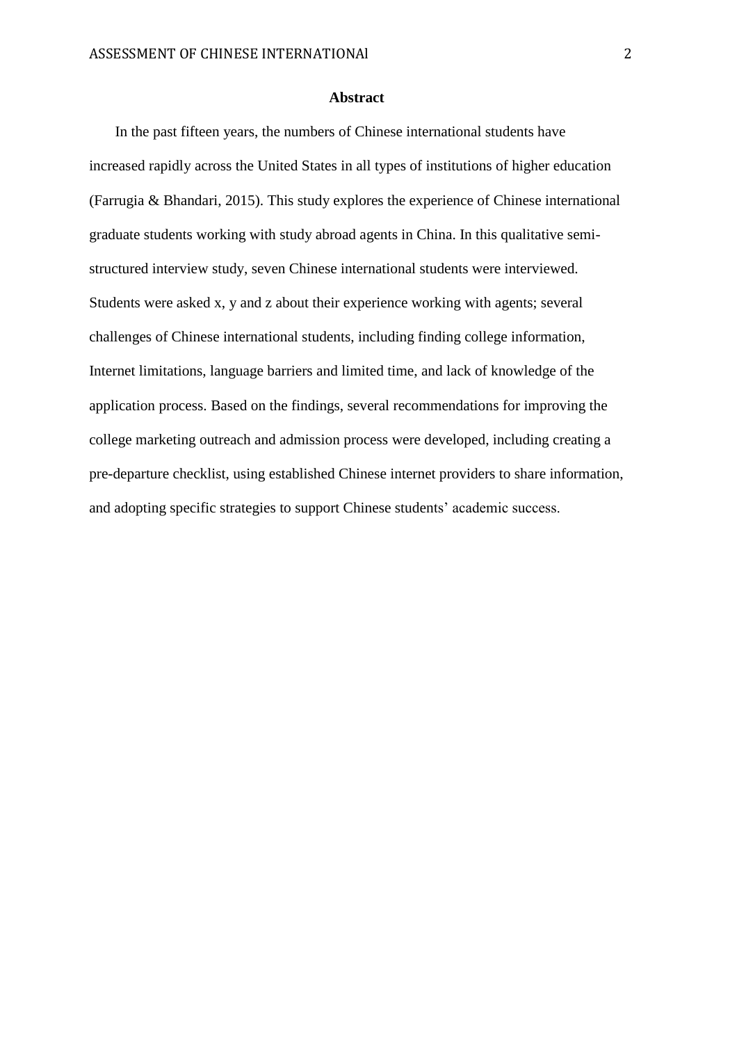#### **Abstract**

In the past fifteen years, the numbers of Chinese international students have increased rapidly across the United States in all types of institutions of higher education (Farrugia & Bhandari, 2015). This study explores the experience of Chinese international graduate students working with study abroad agents in China. In this qualitative semistructured interview study, seven Chinese international students were interviewed. Students were asked x, y and z about their experience working with agents; several challenges of Chinese international students, including finding college information, Internet limitations, language barriers and limited time, and lack of knowledge of the application process. Based on the findings, several recommendations for improving the college marketing outreach and admission process were developed, including creating a pre-departure checklist, using established Chinese internet providers to share information, and adopting specific strategies to support Chinese students' academic success.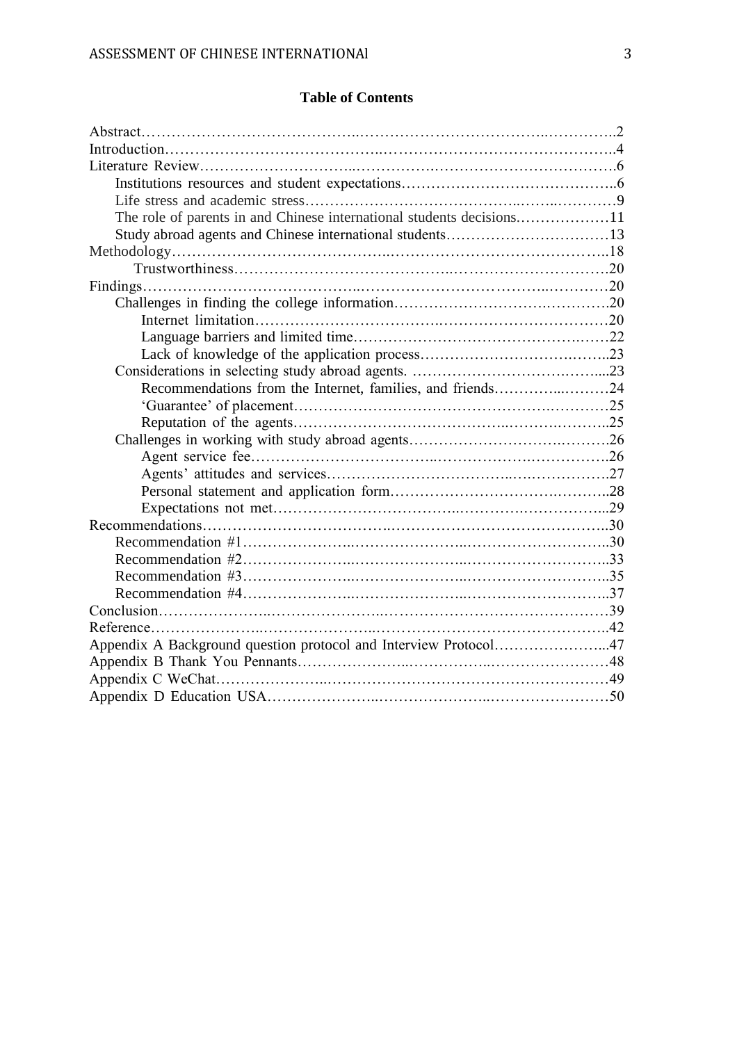# **Table of Contents**

| The role of parents in and Chinese international students decisions11 |  |
|-----------------------------------------------------------------------|--|
| Study abroad agents and Chinese international students13              |  |
|                                                                       |  |
|                                                                       |  |
|                                                                       |  |
|                                                                       |  |
|                                                                       |  |
|                                                                       |  |
|                                                                       |  |
|                                                                       |  |
| Recommendations from the Internet, families, and friends24            |  |
|                                                                       |  |
|                                                                       |  |
|                                                                       |  |
|                                                                       |  |
|                                                                       |  |
|                                                                       |  |
|                                                                       |  |
|                                                                       |  |
|                                                                       |  |
|                                                                       |  |
|                                                                       |  |
|                                                                       |  |
|                                                                       |  |
|                                                                       |  |
| Appendix A Background question protocol and Interview Protocol47      |  |
|                                                                       |  |
|                                                                       |  |
|                                                                       |  |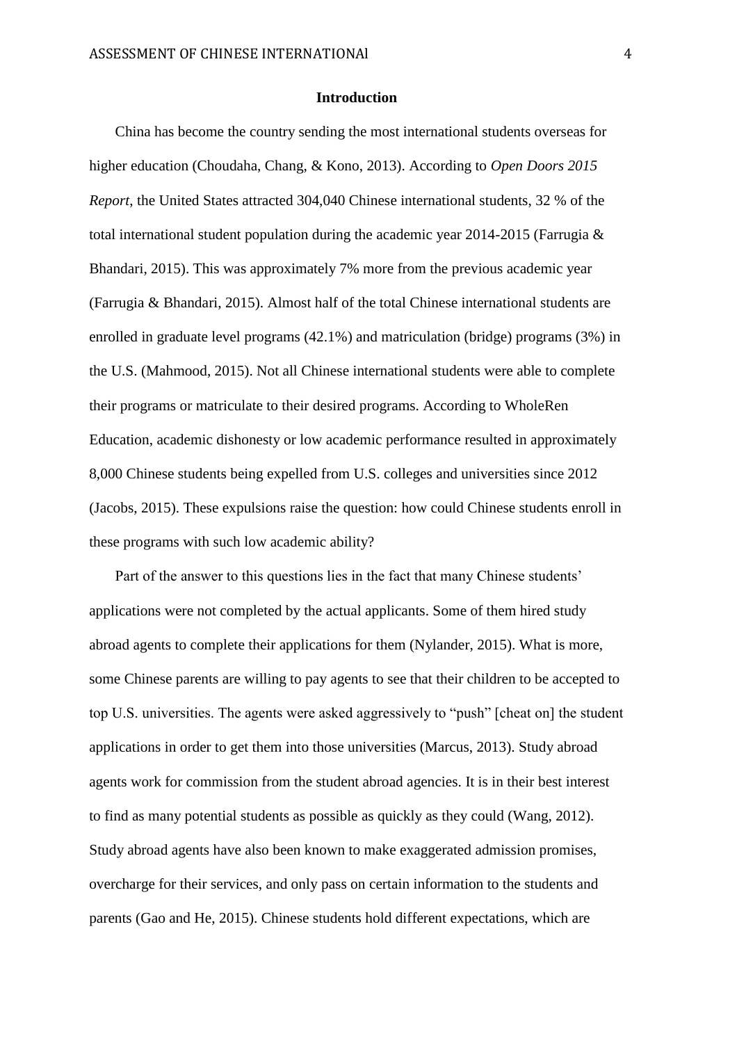#### **Introduction**

China has become the country sending the most international students overseas for higher education (Choudaha, Chang, & Kono, 2013). According to *Open Doors 2015 Report*, the United States attracted 304,040 Chinese international students, 32 % of the total international student population during the academic year 2014-2015 (Farrugia & Bhandari, 2015). This was approximately 7% more from the previous academic year (Farrugia & Bhandari, 2015). Almost half of the total Chinese international students are enrolled in graduate level programs (42.1%) and matriculation (bridge) programs (3%) in the U.S. (Mahmood, 2015). Not all Chinese international students were able to complete their programs or matriculate to their desired programs. According to WholeRen Education, academic dishonesty or low academic performance resulted in approximately 8,000 Chinese students being expelled from U.S. colleges and universities since 2012 (Jacobs, 2015). These expulsions raise the question: how could Chinese students enroll in these programs with such low academic ability?

Part of the answer to this questions lies in the fact that many Chinese students' applications were not completed by the actual applicants. Some of them hired study abroad agents to complete their applications for them (Nylander, 2015). What is more, some Chinese parents are willing to pay agents to see that their children to be accepted to top U.S. universities. The agents were asked aggressively to "push" [cheat on] the student applications in order to get them into those universities (Marcus, 2013). Study abroad agents work for commission from the student abroad agencies. It is in their best interest to find as many potential students as possible as quickly as they could (Wang, 2012). Study abroad agents have also been known to make exaggerated admission promises, overcharge for their services, and only pass on certain information to the students and parents (Gao and He, 2015). Chinese students hold different expectations, which are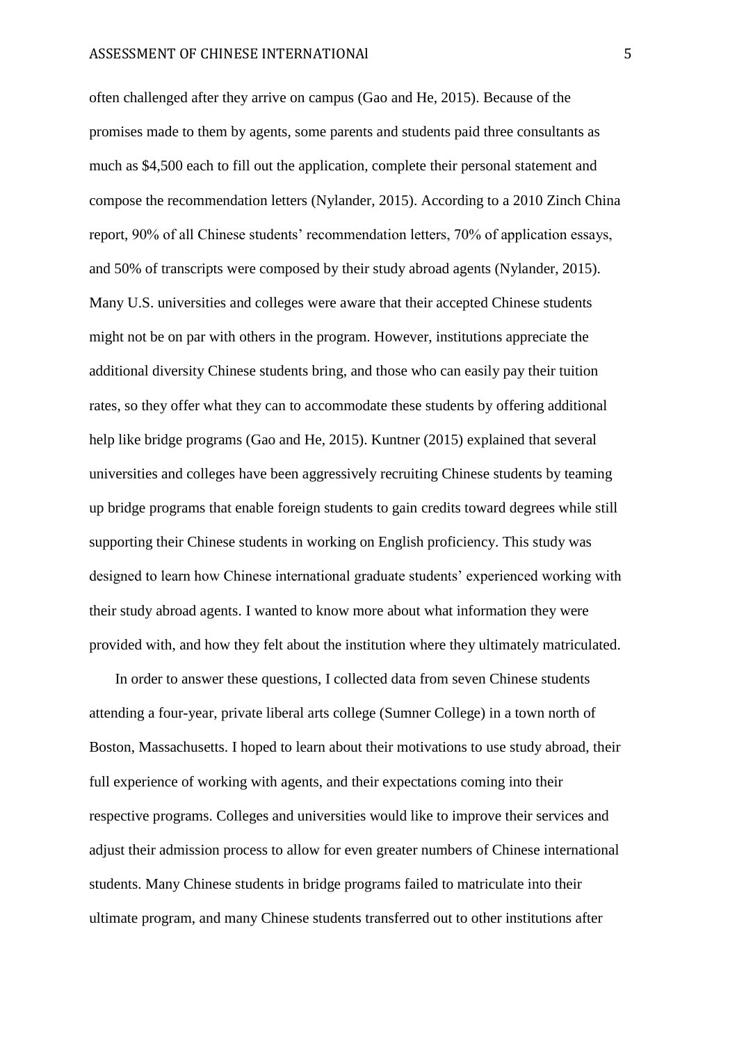often challenged after they arrive on campus (Gao and He, 2015). Because of the promises made to them by agents, some parents and students paid three consultants as much as \$4,500 each to fill out the application, complete their personal statement and compose the recommendation letters (Nylander, 2015). According to a 2010 Zinch China report, 90% of all Chinese students' recommendation letters, 70% of application essays, and 50% of transcripts were composed by their study abroad agents (Nylander, 2015). Many U.S. universities and colleges were aware that their accepted Chinese students might not be on par with others in the program. However, institutions appreciate the additional diversity Chinese students bring, and those who can easily pay their tuition rates, so they offer what they can to accommodate these students by offering additional help like bridge programs (Gao and He, 2015). Kuntner (2015) explained that several universities and colleges have been aggressively recruiting Chinese students by teaming up bridge programs that enable foreign students to gain credits toward degrees while still supporting their Chinese students in working on English proficiency. This study was designed to learn how Chinese international graduate students' experienced working with their study abroad agents. I wanted to know more about what information they were provided with, and how they felt about the institution where they ultimately matriculated.

In order to answer these questions, I collected data from seven Chinese students attending a four-year, private liberal arts college (Sumner College) in a town north of Boston, Massachusetts. I hoped to learn about their motivations to use study abroad, their full experience of working with agents, and their expectations coming into their respective programs. Colleges and universities would like to improve their services and adjust their admission process to allow for even greater numbers of Chinese international students. Many Chinese students in bridge programs failed to matriculate into their ultimate program, and many Chinese students transferred out to other institutions after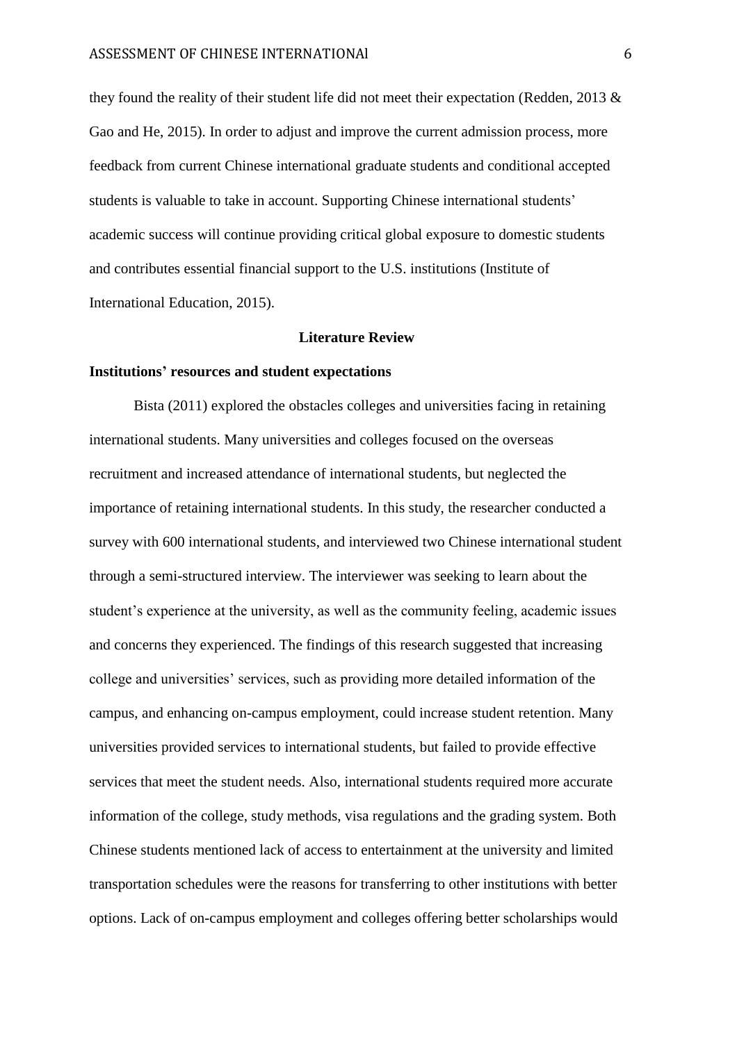they found the reality of their student life did not meet their expectation (Redden, 2013 & Gao and He, 2015). In order to adjust and improve the current admission process, more feedback from current Chinese international graduate students and conditional accepted students is valuable to take in account. Supporting Chinese international students' academic success will continue providing critical global exposure to domestic students and contributes essential financial support to the U.S. institutions (Institute of International Education, 2015).

#### **Literature Review**

#### **Institutions' resources and student expectations**

 Bista (2011) explored the obstacles colleges and universities facing in retaining international students. Many universities and colleges focused on the overseas recruitment and increased attendance of international students, but neglected the importance of retaining international students. In this study, the researcher conducted a survey with 600 international students, and interviewed two Chinese international student through a semi-structured interview. The interviewer was seeking to learn about the student's experience at the university, as well as the community feeling, academic issues and concerns they experienced. The findings of this research suggested that increasing college and universities' services, such as providing more detailed information of the campus, and enhancing on-campus employment, could increase student retention. Many universities provided services to international students, but failed to provide effective services that meet the student needs. Also, international students required more accurate information of the college, study methods, visa regulations and the grading system. Both Chinese students mentioned lack of access to entertainment at the university and limited transportation schedules were the reasons for transferring to other institutions with better options. Lack of on-campus employment and colleges offering better scholarships would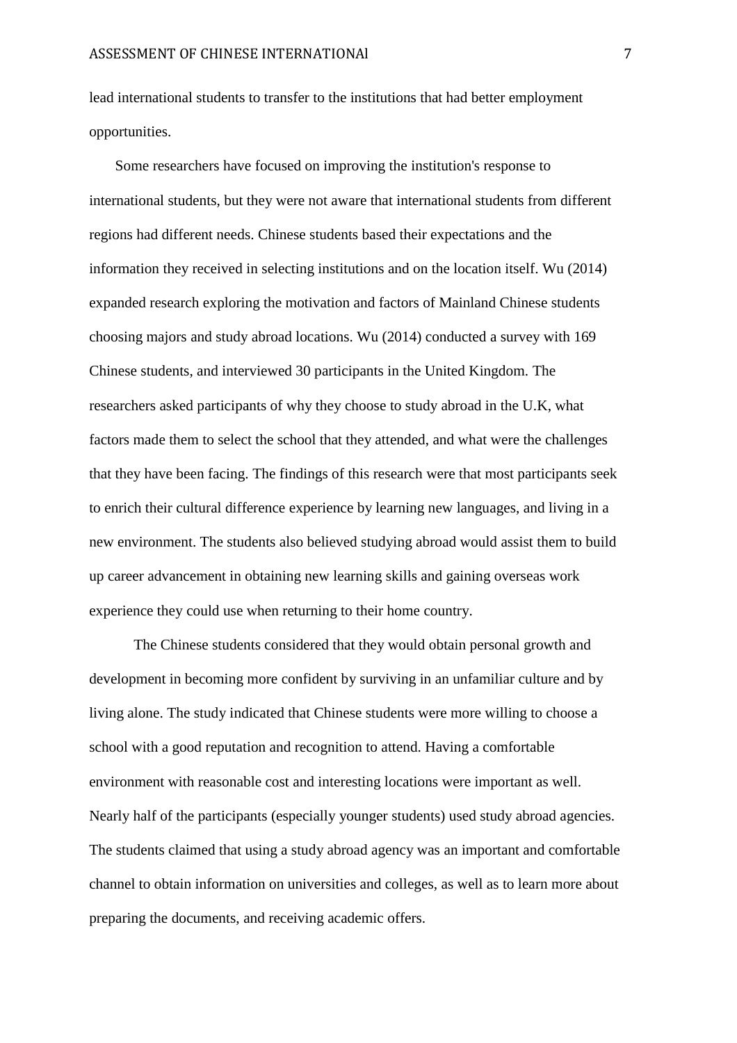lead international students to transfer to the institutions that had better employment opportunities.

Some researchers have focused on improving the institution's response to international students, but they were not aware that international students from different regions had different needs. Chinese students based their expectations and the information they received in selecting institutions and on the location itself. Wu (2014) expanded research exploring the motivation and factors of Mainland Chinese students choosing majors and study abroad locations. Wu (2014) conducted a survey with 169 Chinese students, and interviewed 30 participants in the United Kingdom. The researchers asked participants of why they choose to study abroad in the U.K, what factors made them to select the school that they attended, and what were the challenges that they have been facing. The findings of this research were that most participants seek to enrich their cultural difference experience by learning new languages, and living in a new environment. The students also believed studying abroad would assist them to build up career advancement in obtaining new learning skills and gaining overseas work experience they could use when returning to their home country.

The Chinese students considered that they would obtain personal growth and development in becoming more confident by surviving in an unfamiliar culture and by living alone. The study indicated that Chinese students were more willing to choose a school with a good reputation and recognition to attend. Having a comfortable environment with reasonable cost and interesting locations were important as well. Nearly half of the participants (especially younger students) used study abroad agencies. The students claimed that using a study abroad agency was an important and comfortable channel to obtain information on universities and colleges, as well as to learn more about preparing the documents, and receiving academic offers.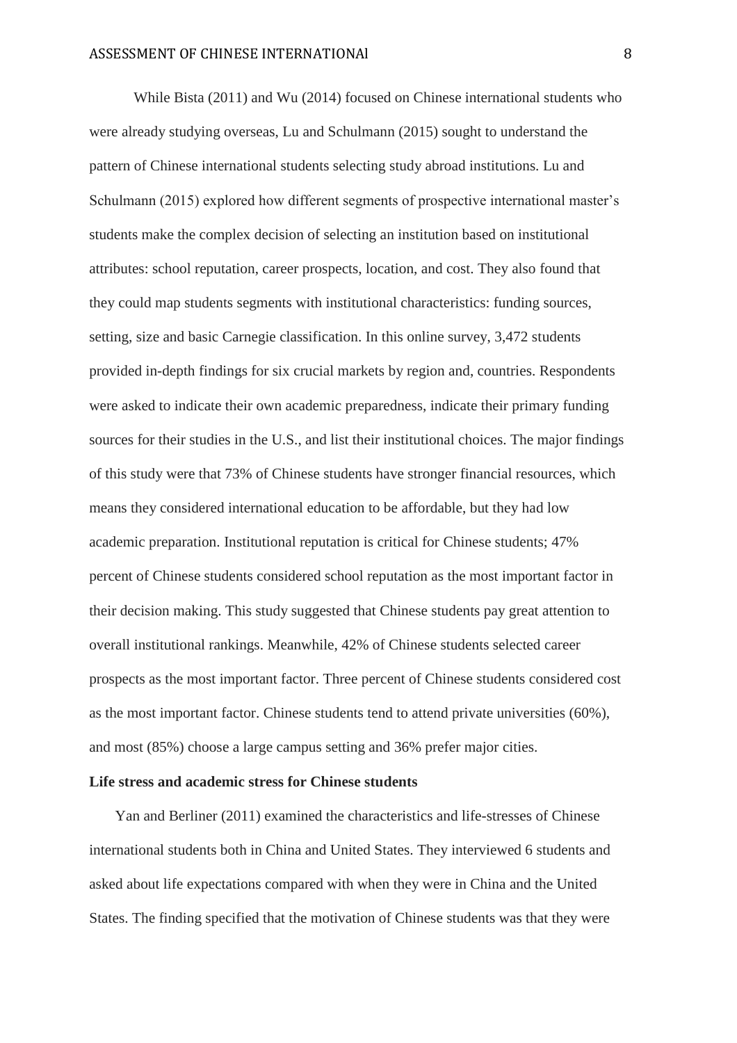While Bista (2011) and Wu (2014) focused on Chinese international students who were already studying overseas, Lu and Schulmann (2015) sought to understand the pattern of Chinese international students selecting study abroad institutions. Lu and Schulmann (2015) explored how different segments of prospective international master's students make the complex decision of selecting an institution based on institutional attributes: school reputation, career prospects, location, and cost. They also found that they could map students segments with institutional characteristics: funding sources, setting, size and basic Carnegie classification. In this online survey, 3,472 students provided in-depth findings for six crucial markets by region and, countries. Respondents were asked to indicate their own academic preparedness, indicate their primary funding sources for their studies in the U.S., and list their institutional choices. The major findings of this study were that 73% of Chinese students have stronger financial resources, which means they considered international education to be affordable, but they had low academic preparation. Institutional reputation is critical for Chinese students; 47% percent of Chinese students considered school reputation as the most important factor in their decision making. This study suggested that Chinese students pay great attention to overall institutional rankings. Meanwhile, 42% of Chinese students selected career prospects as the most important factor. Three percent of Chinese students considered cost as the most important factor. Chinese students tend to attend private universities (60%), and most (85%) choose a large campus setting and 36% prefer major cities.

## **Life stress and academic stress for Chinese students**

Yan and Berliner (2011) examined the characteristics and life-stresses of Chinese international students both in China and United States. They interviewed 6 students and asked about life expectations compared with when they were in China and the United States. The finding specified that the motivation of Chinese students was that they were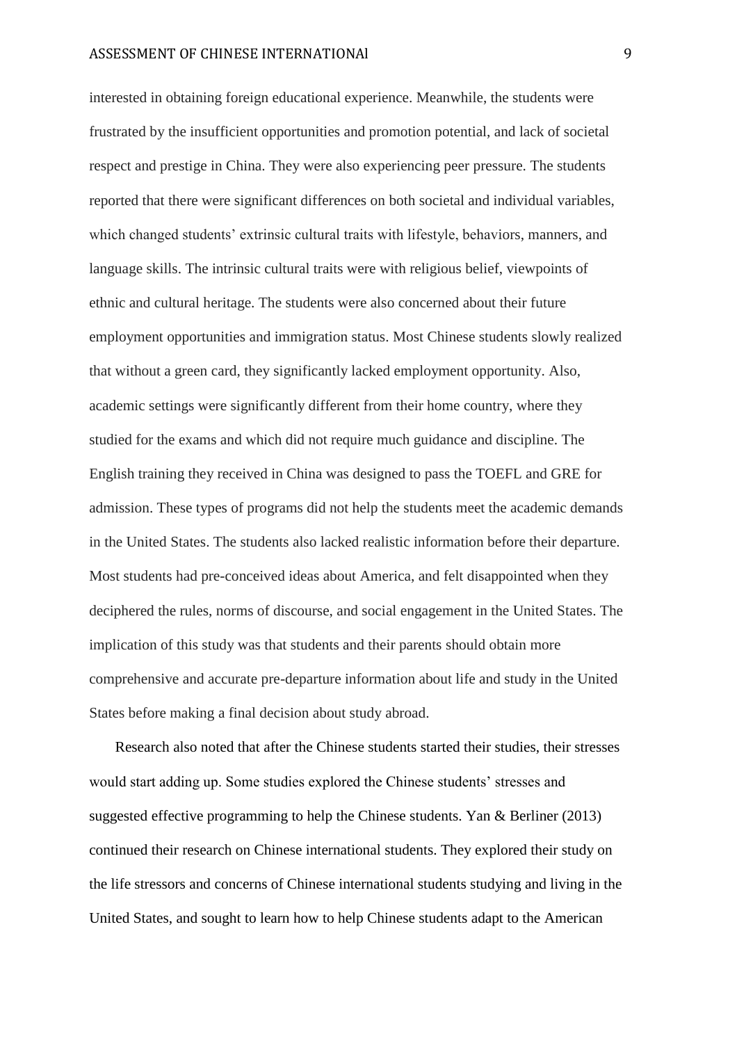interested in obtaining foreign educational experience. Meanwhile, the students were frustrated by the insufficient opportunities and promotion potential, and lack of societal respect and prestige in China. They were also experiencing peer pressure. The students reported that there were significant differences on both societal and individual variables, which changed students' extrinsic cultural traits with lifestyle, behaviors, manners, and language skills. The intrinsic cultural traits were with religious belief, viewpoints of ethnic and cultural heritage. The students were also concerned about their future employment opportunities and immigration status. Most Chinese students slowly realized that without a green card, they significantly lacked employment opportunity. Also, academic settings were significantly different from their home country, where they studied for the exams and which did not require much guidance and discipline. The English training they received in China was designed to pass the TOEFL and GRE for admission. These types of programs did not help the students meet the academic demands in the United States. The students also lacked realistic information before their departure. Most students had pre-conceived ideas about America, and felt disappointed when they deciphered the rules, norms of discourse, and social engagement in the United States. The implication of this study was that students and their parents should obtain more comprehensive and accurate pre-departure information about life and study in the United States before making a final decision about study abroad.

Research also noted that after the Chinese students started their studies, their stresses would start adding up. Some studies explored the Chinese students' stresses and suggested effective programming to help the Chinese students. Yan & Berliner (2013) continued their research on Chinese international students. They explored their study on the life stressors and concerns of Chinese international students studying and living in the United States, and sought to learn how to help Chinese students adapt to the American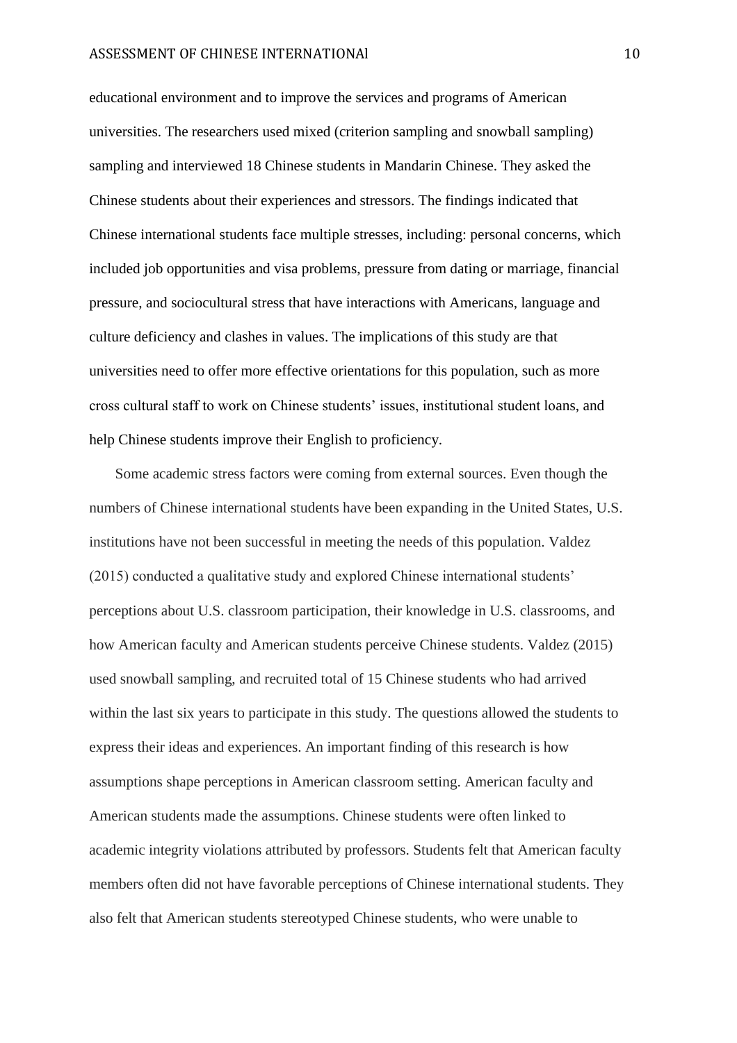educational environment and to improve the services and programs of American universities. The researchers used mixed (criterion sampling and snowball sampling) sampling and interviewed 18 Chinese students in Mandarin Chinese. They asked the Chinese students about their experiences and stressors. The findings indicated that Chinese international students face multiple stresses, including: personal concerns, which included job opportunities and visa problems, pressure from dating or marriage, financial pressure, and sociocultural stress that have interactions with Americans, language and culture deficiency and clashes in values. The implications of this study are that universities need to offer more effective orientations for this population, such as more cross cultural staff to work on Chinese students' issues, institutional student loans, and help Chinese students improve their English to proficiency.

Some academic stress factors were coming from external sources. Even though the numbers of Chinese international students have been expanding in the United States, U.S. institutions have not been successful in meeting the needs of this population. Valdez (2015) conducted a qualitative study and explored Chinese international students' perceptions about U.S. classroom participation, their knowledge in U.S. classrooms, and how American faculty and American students perceive Chinese students. Valdez (2015) used snowball sampling, and recruited total of 15 Chinese students who had arrived within the last six years to participate in this study. The questions allowed the students to express their ideas and experiences. An important finding of this research is how assumptions shape perceptions in American classroom setting. American faculty and American students made the assumptions. Chinese students were often linked to academic integrity violations attributed by professors. Students felt that American faculty members often did not have favorable perceptions of Chinese international students. They also felt that American students stereotyped Chinese students, who were unable to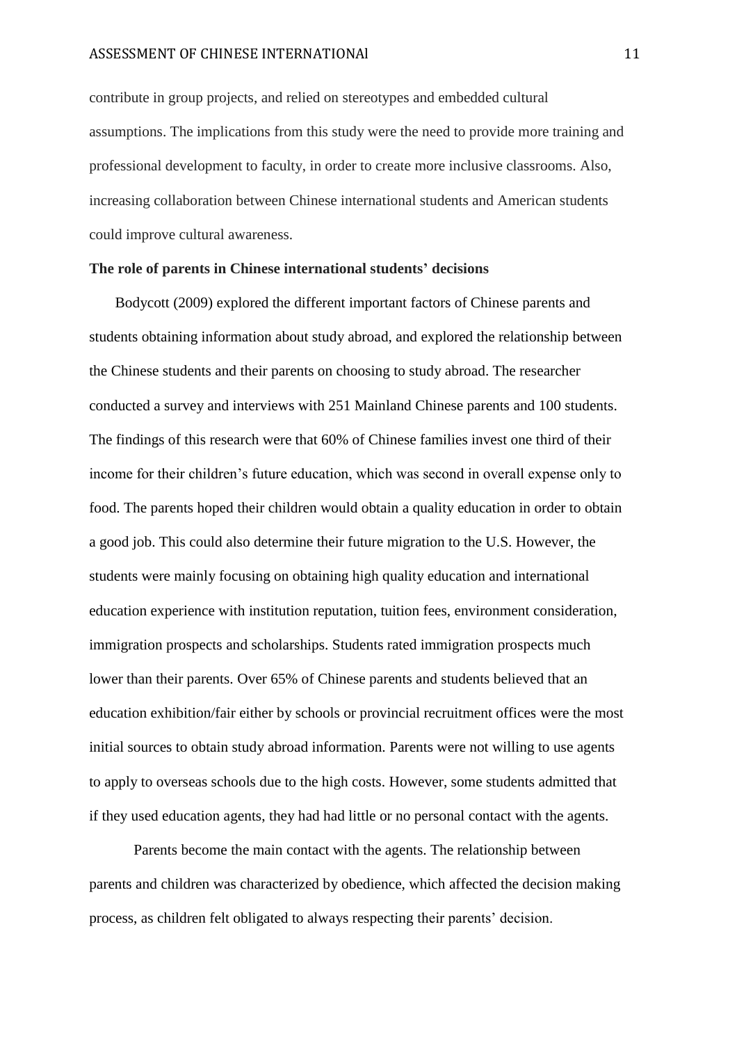contribute in group projects, and relied on stereotypes and embedded cultural assumptions. The implications from this study were the need to provide more training and professional development to faculty, in order to create more inclusive classrooms. Also, increasing collaboration between Chinese international students and American students could improve cultural awareness.

## **The role of parents in Chinese international students' decisions**

Bodycott (2009) explored the different important factors of Chinese parents and students obtaining information about study abroad, and explored the relationship between the Chinese students and their parents on choosing to study abroad. The researcher conducted a survey and interviews with 251 Mainland Chinese parents and 100 students. The findings of this research were that 60% of Chinese families invest one third of their income for their children's future education, which was second in overall expense only to food. The parents hoped their children would obtain a quality education in order to obtain a good job. This could also determine their future migration to the U.S. However, the students were mainly focusing on obtaining high quality education and international education experience with institution reputation, tuition fees, environment consideration, immigration prospects and scholarships. Students rated immigration prospects much lower than their parents. Over 65% of Chinese parents and students believed that an education exhibition/fair either by schools or provincial recruitment offices were the most initial sources to obtain study abroad information. Parents were not willing to use agents to apply to overseas schools due to the high costs. However, some students admitted that if they used education agents, they had had little or no personal contact with the agents.

 Parents become the main contact with the agents. The relationship between parents and children was characterized by obedience, which affected the decision making process, as children felt obligated to always respecting their parents' decision.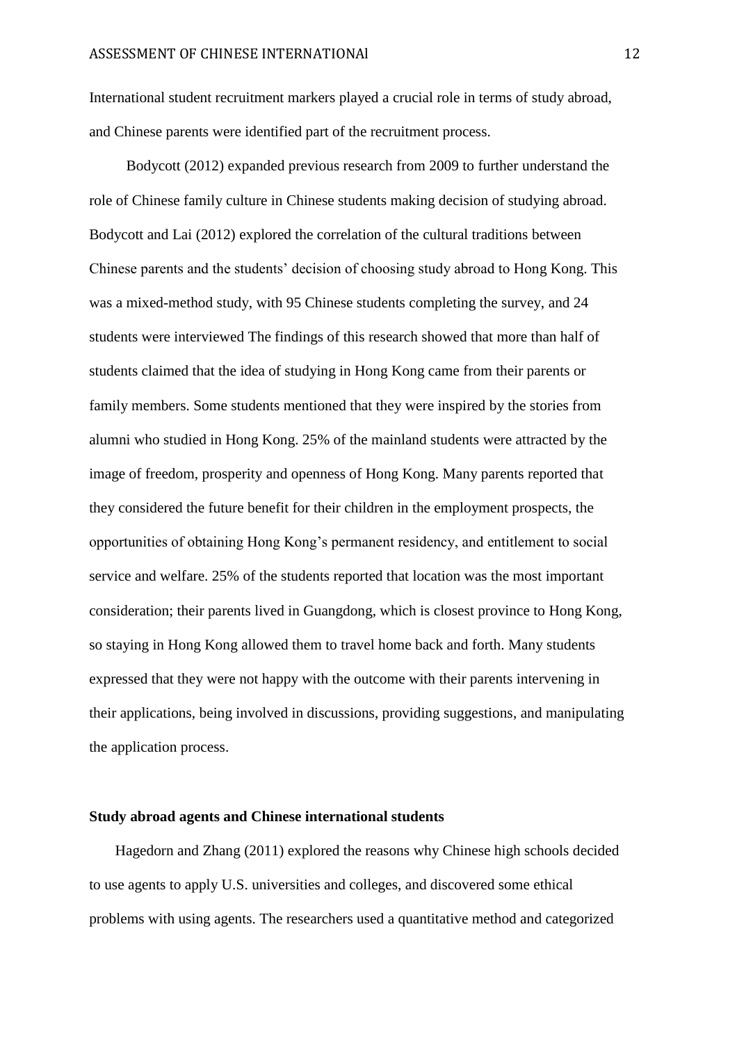International student recruitment markers played a crucial role in terms of study abroad, and Chinese parents were identified part of the recruitment process.

 Bodycott (2012) expanded previous research from 2009 to further understand the role of Chinese family culture in Chinese students making decision of studying abroad. Bodycott and Lai (2012) explored the correlation of the cultural traditions between Chinese parents and the students' decision of choosing study abroad to Hong Kong. This was a mixed-method study, with 95 Chinese students completing the survey, and 24 students were interviewed The findings of this research showed that more than half of students claimed that the idea of studying in Hong Kong came from their parents or family members. Some students mentioned that they were inspired by the stories from alumni who studied in Hong Kong. 25% of the mainland students were attracted by the image of freedom, prosperity and openness of Hong Kong. Many parents reported that they considered the future benefit for their children in the employment prospects, the opportunities of obtaining Hong Kong's permanent residency, and entitlement to social service and welfare. 25% of the students reported that location was the most important consideration; their parents lived in Guangdong, which is closest province to Hong Kong, so staying in Hong Kong allowed them to travel home back and forth. Many students expressed that they were not happy with the outcome with their parents intervening in their applications, being involved in discussions, providing suggestions, and manipulating the application process.

#### **Study abroad agents and Chinese international students**

Hagedorn and Zhang (2011) explored the reasons why Chinese high schools decided to use agents to apply U.S. universities and colleges, and discovered some ethical problems with using agents. The researchers used a quantitative method and categorized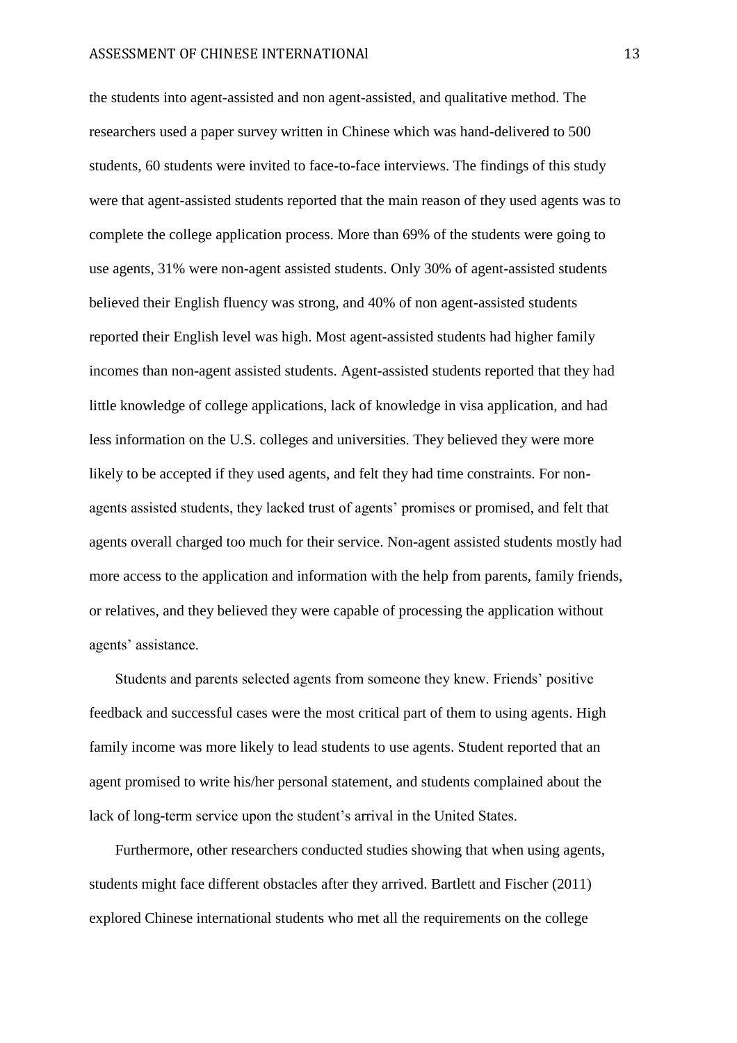the students into agent-assisted and non agent-assisted, and qualitative method. The researchers used a paper survey written in Chinese which was hand-delivered to 500 students, 60 students were invited to face-to-face interviews. The findings of this study were that agent-assisted students reported that the main reason of they used agents was to complete the college application process. More than 69% of the students were going to use agents, 31% were non-agent assisted students. Only 30% of agent-assisted students believed their English fluency was strong, and 40% of non agent-assisted students reported their English level was high. Most agent-assisted students had higher family incomes than non-agent assisted students. Agent-assisted students reported that they had little knowledge of college applications, lack of knowledge in visa application, and had less information on the U.S. colleges and universities. They believed they were more likely to be accepted if they used agents, and felt they had time constraints. For nonagents assisted students, they lacked trust of agents' promises or promised, and felt that agents overall charged too much for their service. Non-agent assisted students mostly had more access to the application and information with the help from parents, family friends, or relatives, and they believed they were capable of processing the application without agents' assistance.

Students and parents selected agents from someone they knew. Friends' positive feedback and successful cases were the most critical part of them to using agents. High family income was more likely to lead students to use agents. Student reported that an agent promised to write his/her personal statement, and students complained about the lack of long-term service upon the student's arrival in the United States.

Furthermore, other researchers conducted studies showing that when using agents, students might face different obstacles after they arrived. Bartlett and Fischer (2011) explored Chinese international students who met all the requirements on the college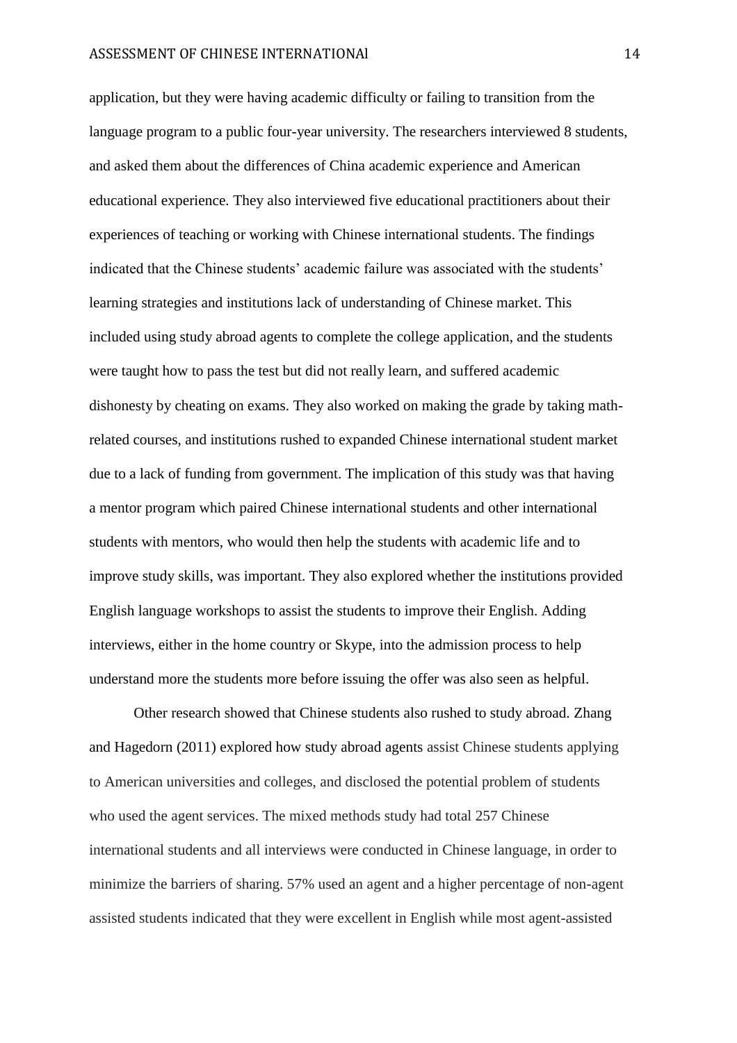application, but they were having academic difficulty or failing to transition from the language program to a public four-year university. The researchers interviewed 8 students, and asked them about the differences of China academic experience and American educational experience. They also interviewed five educational practitioners about their experiences of teaching or working with Chinese international students. The findings indicated that the Chinese students' academic failure was associated with the students' learning strategies and institutions lack of understanding of Chinese market. This included using study abroad agents to complete the college application, and the students were taught how to pass the test but did not really learn, and suffered academic dishonesty by cheating on exams. They also worked on making the grade by taking mathrelated courses, and institutions rushed to expanded Chinese international student market due to a lack of funding from government. The implication of this study was that having a mentor program which paired Chinese international students and other international students with mentors, who would then help the students with academic life and to improve study skills, was important. They also explored whether the institutions provided English language workshops to assist the students to improve their English. Adding interviews, either in the home country or Skype, into the admission process to help understand more the students more before issuing the offer was also seen as helpful.

Other research showed that Chinese students also rushed to study abroad. Zhang and Hagedorn (2011) explored how study abroad agents assist Chinese students applying to American universities and colleges, and disclosed the potential problem of students who used the agent services. The mixed methods study had total 257 Chinese international students and all interviews were conducted in Chinese language, in order to minimize the barriers of sharing. 57% used an agent and a higher percentage of non-agent assisted students indicated that they were excellent in English while most agent-assisted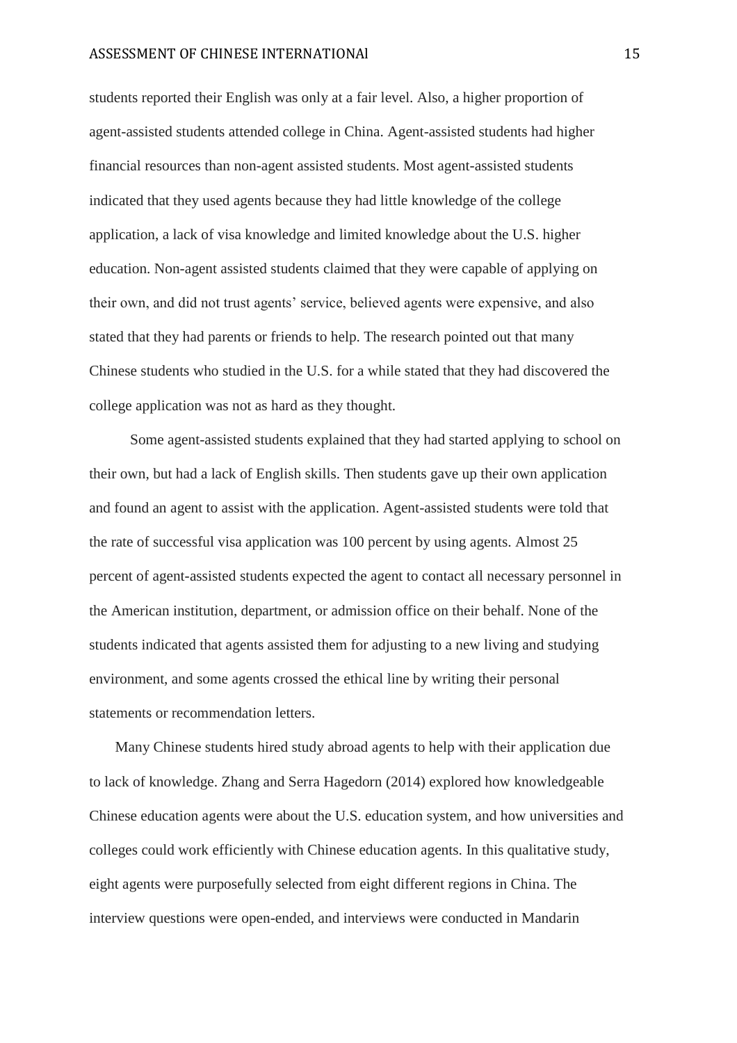students reported their English was only at a fair level. Also, a higher proportion of agent-assisted students attended college in China. Agent-assisted students had higher financial resources than non-agent assisted students. Most agent-assisted students indicated that they used agents because they had little knowledge of the college application, a lack of visa knowledge and limited knowledge about the U.S. higher education. Non-agent assisted students claimed that they were capable of applying on their own, and did not trust agents' service, believed agents were expensive, and also stated that they had parents or friends to help. The research pointed out that many Chinese students who studied in the U.S. for a while stated that they had discovered the college application was not as hard as they thought.

 Some agent-assisted students explained that they had started applying to school on their own, but had a lack of English skills. Then students gave up their own application and found an agent to assist with the application. Agent-assisted students were told that the rate of successful visa application was 100 percent by using agents. Almost 25 percent of agent-assisted students expected the agent to contact all necessary personnel in the American institution, department, or admission office on their behalf. None of the students indicated that agents assisted them for adjusting to a new living and studying environment, and some agents crossed the ethical line by writing their personal statements or recommendation letters.

Many Chinese students hired study abroad agents to help with their application due to lack of knowledge. Zhang and Serra Hagedorn (2014) explored how knowledgeable Chinese education agents were about the U.S. education system, and how universities and colleges could work efficiently with Chinese education agents. In this qualitative study, eight agents were purposefully selected from eight different regions in China. The interview questions were open-ended, and interviews were conducted in Mandarin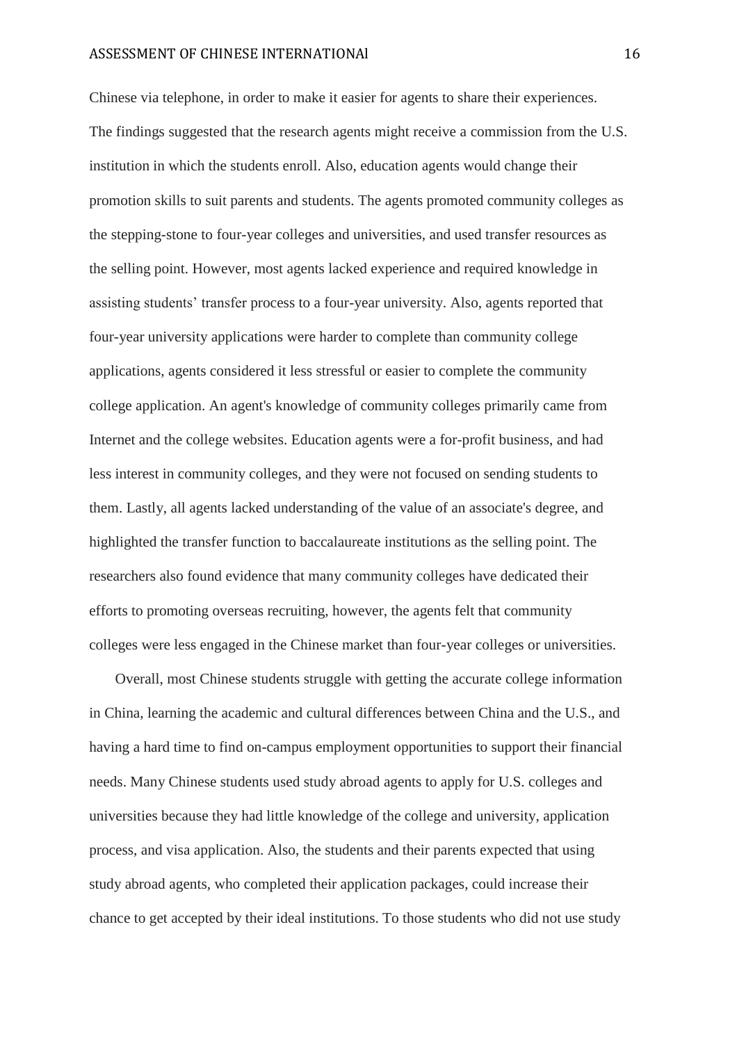Chinese via telephone, in order to make it easier for agents to share their experiences. The findings suggested that the research agents might receive a commission from the U.S. institution in which the students enroll. Also, education agents would change their promotion skills to suit parents and students. The agents promoted community colleges as the stepping-stone to four-year colleges and universities, and used transfer resources as the selling point. However, most agents lacked experience and required knowledge in assisting students' transfer process to a four-year university. Also, agents reported that four-year university applications were harder to complete than community college applications, agents considered it less stressful or easier to complete the community college application. An agent's knowledge of community colleges primarily came from Internet and the college websites. Education agents were a for-profit business, and had less interest in community colleges, and they were not focused on sending students to them. Lastly, all agents lacked understanding of the value of an associate's degree, and highlighted the transfer function to baccalaureate institutions as the selling point. The researchers also found evidence that many community colleges have dedicated their efforts to promoting overseas recruiting, however, the agents felt that community colleges were less engaged in the Chinese market than four-year colleges or universities.

Overall, most Chinese students struggle with getting the accurate college information in China, learning the academic and cultural differences between China and the U.S., and having a hard time to find on-campus employment opportunities to support their financial needs. Many Chinese students used study abroad agents to apply for U.S. colleges and universities because they had little knowledge of the college and university, application process, and visa application. Also, the students and their parents expected that using study abroad agents, who completed their application packages, could increase their chance to get accepted by their ideal institutions. To those students who did not use study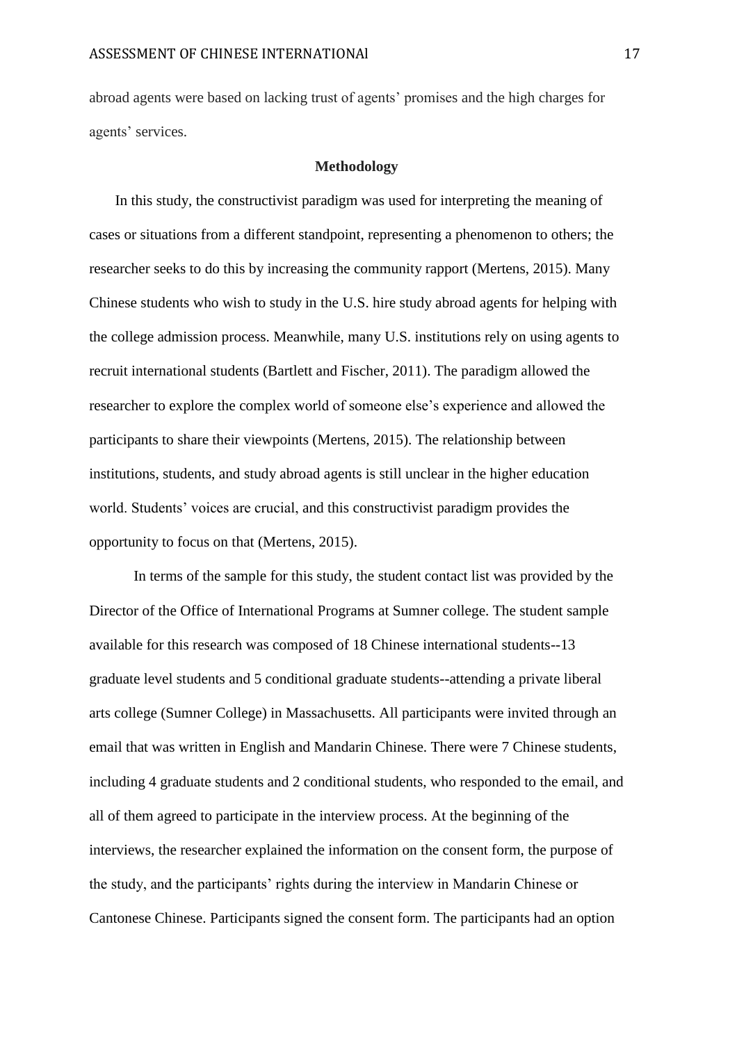abroad agents were based on lacking trust of agents' promises and the high charges for agents' services.

#### **Methodology**

In this study, the constructivist paradigm was used for interpreting the meaning of cases or situations from a different standpoint, representing a phenomenon to others; the researcher seeks to do this by increasing the community rapport (Mertens, 2015). Many Chinese students who wish to study in the U.S. hire study abroad agents for helping with the college admission process. Meanwhile, many U.S. institutions rely on using agents to recruit international students (Bartlett and Fischer, 2011). The paradigm allowed the researcher to explore the complex world of someone else's experience and allowed the participants to share their viewpoints (Mertens, 2015). The relationship between institutions, students, and study abroad agents is still unclear in the higher education world. Students' voices are crucial, and this constructivist paradigm provides the opportunity to focus on that (Mertens, 2015).

In terms of the sample for this study, the student contact list was provided by the Director of the Office of International Programs at Sumner college. The student sample available for this research was composed of 18 Chinese international students--13 graduate level students and 5 conditional graduate students--attending a private liberal arts college (Sumner College) in Massachusetts. All participants were invited through an email that was written in English and Mandarin Chinese. There were 7 Chinese students, including 4 graduate students and 2 conditional students, who responded to the email, and all of them agreed to participate in the interview process. At the beginning of the interviews, the researcher explained the information on the consent form, the purpose of the study, and the participants' rights during the interview in Mandarin Chinese or Cantonese Chinese. Participants signed the consent form. The participants had an option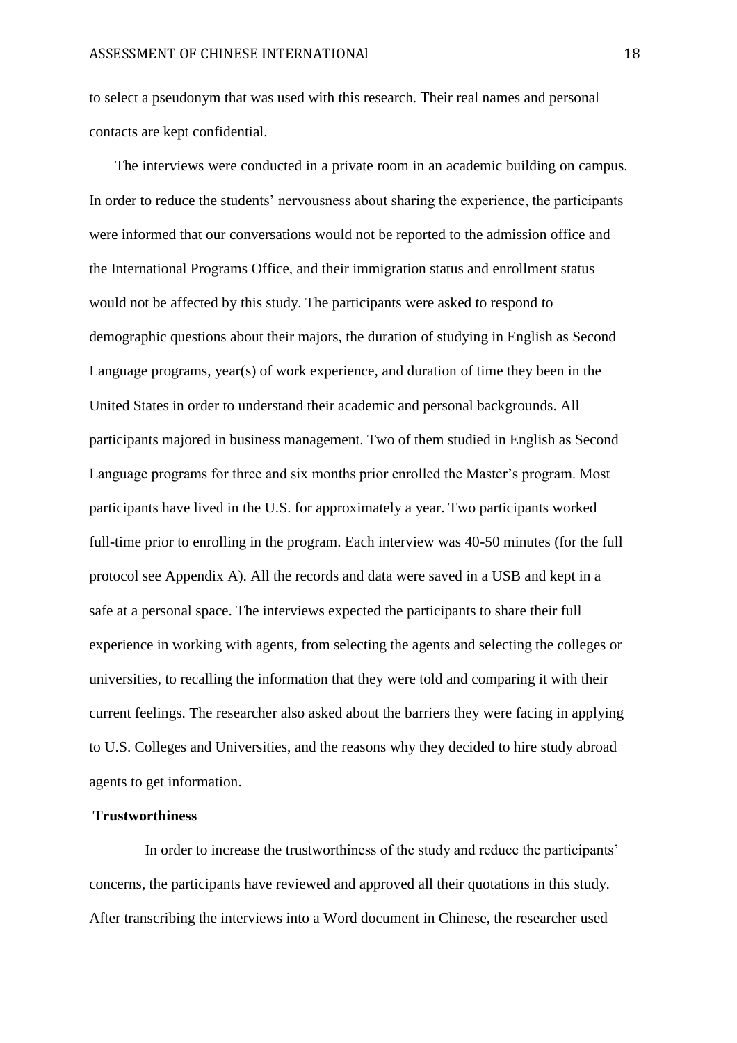to select a pseudonym that was used with this research. Their real names and personal contacts are kept confidential.

The interviews were conducted in a private room in an academic building on campus. In order to reduce the students' nervousness about sharing the experience, the participants were informed that our conversations would not be reported to the admission office and the International Programs Office, and their immigration status and enrollment status would not be affected by this study. The participants were asked to respond to demographic questions about their majors, the duration of studying in English as Second Language programs, year(s) of work experience, and duration of time they been in the United States in order to understand their academic and personal backgrounds. All participants majored in business management. Two of them studied in English as Second Language programs for three and six months prior enrolled the Master's program. Most participants have lived in the U.S. for approximately a year. Two participants worked full-time prior to enrolling in the program. Each interview was 40-50 minutes (for the full protocol see Appendix A). All the records and data were saved in a USB and kept in a safe at a personal space. The interviews expected the participants to share their full experience in working with agents, from selecting the agents and selecting the colleges or universities, to recalling the information that they were told and comparing it with their current feelings. The researcher also asked about the barriers they were facing in applying to U.S. Colleges and Universities, and the reasons why they decided to hire study abroad agents to get information.

# **Trustworthiness**

 In order to increase the trustworthiness of the study and reduce the participants' concerns, the participants have reviewed and approved all their quotations in this study. After transcribing the interviews into a Word document in Chinese, the researcher used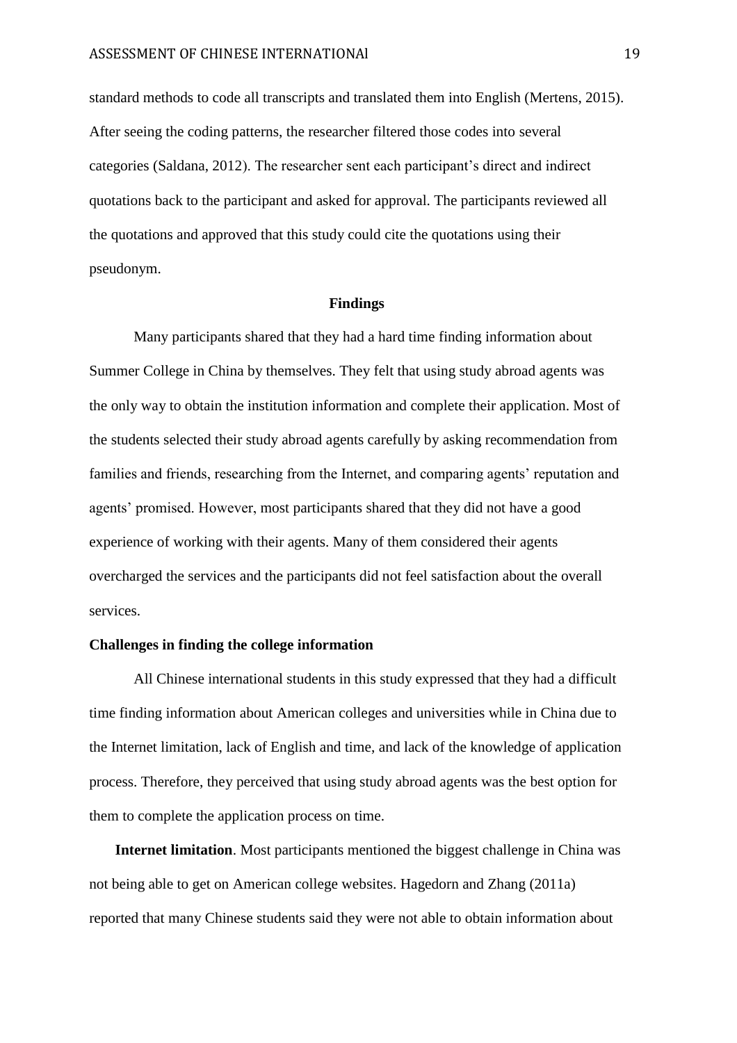standard methods to code all transcripts and translated them into English (Mertens, 2015). After seeing the coding patterns, the researcher filtered those codes into several categories (Saldana, 2012). The researcher sent each participant's direct and indirect quotations back to the participant and asked for approval. The participants reviewed all the quotations and approved that this study could cite the quotations using their pseudonym.

#### **Findings**

Many participants shared that they had a hard time finding information about Summer College in China by themselves. They felt that using study abroad agents was the only way to obtain the institution information and complete their application. Most of the students selected their study abroad agents carefully by asking recommendation from families and friends, researching from the Internet, and comparing agents' reputation and agents' promised. However, most participants shared that they did not have a good experience of working with their agents. Many of them considered their agents overcharged the services and the participants did not feel satisfaction about the overall services.

# **Challenges in finding the college information**

All Chinese international students in this study expressed that they had a difficult time finding information about American colleges and universities while in China due to the Internet limitation, lack of English and time, and lack of the knowledge of application process. Therefore, they perceived that using study abroad agents was the best option for them to complete the application process on time.

**Internet limitation**. Most participants mentioned the biggest challenge in China was not being able to get on American college websites. Hagedorn and Zhang (2011a) reported that many Chinese students said they were not able to obtain information about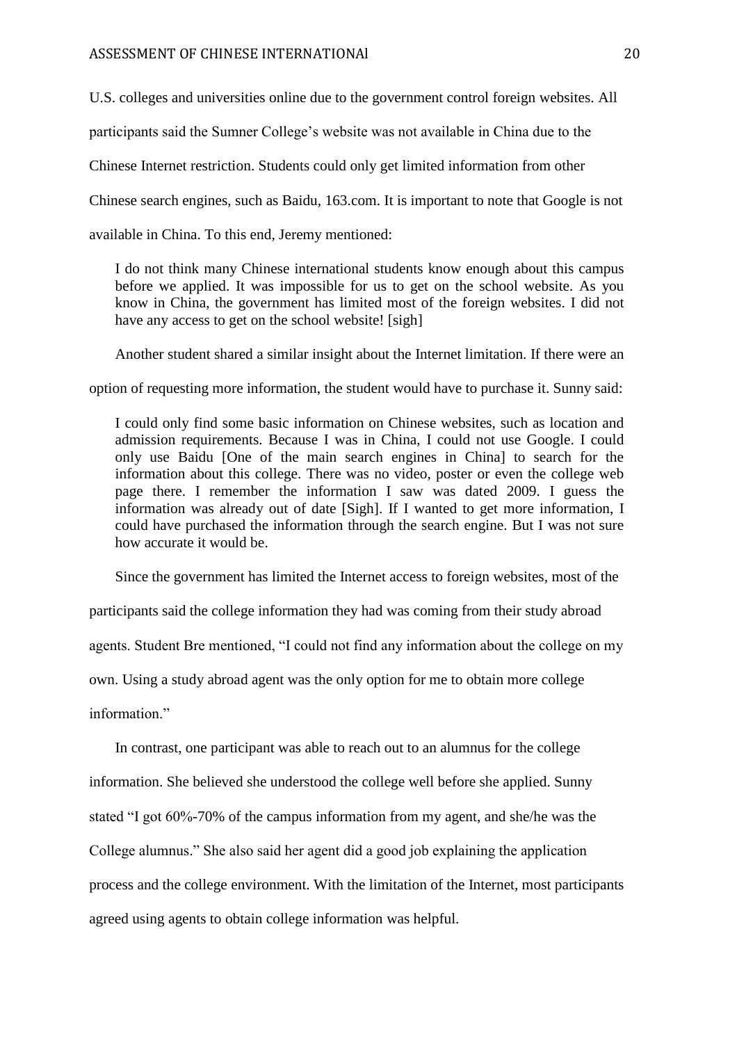U.S. colleges and universities online due to the government control foreign websites. All

participants said the Sumner College's website was not available in China due to the

Chinese Internet restriction. Students could only get limited information from other

Chinese search engines, such as Baidu, 163.com. It is important to note that Google is not

available in China. To this end, Jeremy mentioned:

I do not think many Chinese international students know enough about this campus before we applied. It was impossible for us to get on the school website. As you know in China, the government has limited most of the foreign websites. I did not have any access to get on the school website! [sigh]

Another student shared a similar insight about the Internet limitation. If there were an

option of requesting more information, the student would have to purchase it. Sunny said:

I could only find some basic information on Chinese websites, such as location and admission requirements. Because I was in China, I could not use Google. I could only use Baidu [One of the main search engines in China] to search for the information about this college. There was no video, poster or even the college web page there. I remember the information I saw was dated 2009. I guess the information was already out of date [Sigh]. If I wanted to get more information, I could have purchased the information through the search engine. But I was not sure how accurate it would be.

Since the government has limited the Internet access to foreign websites, most of the

participants said the college information they had was coming from their study abroad

agents. Student Bre mentioned, "I could not find any information about the college on my

own. Using a study abroad agent was the only option for me to obtain more college

information"

In contrast, one participant was able to reach out to an alumnus for the college information. She believed she understood the college well before she applied. Sunny stated "I got 60%-70% of the campus information from my agent, and she/he was the College alumnus." She also said her agent did a good job explaining the application process and the college environment. With the limitation of the Internet, most participants agreed using agents to obtain college information was helpful.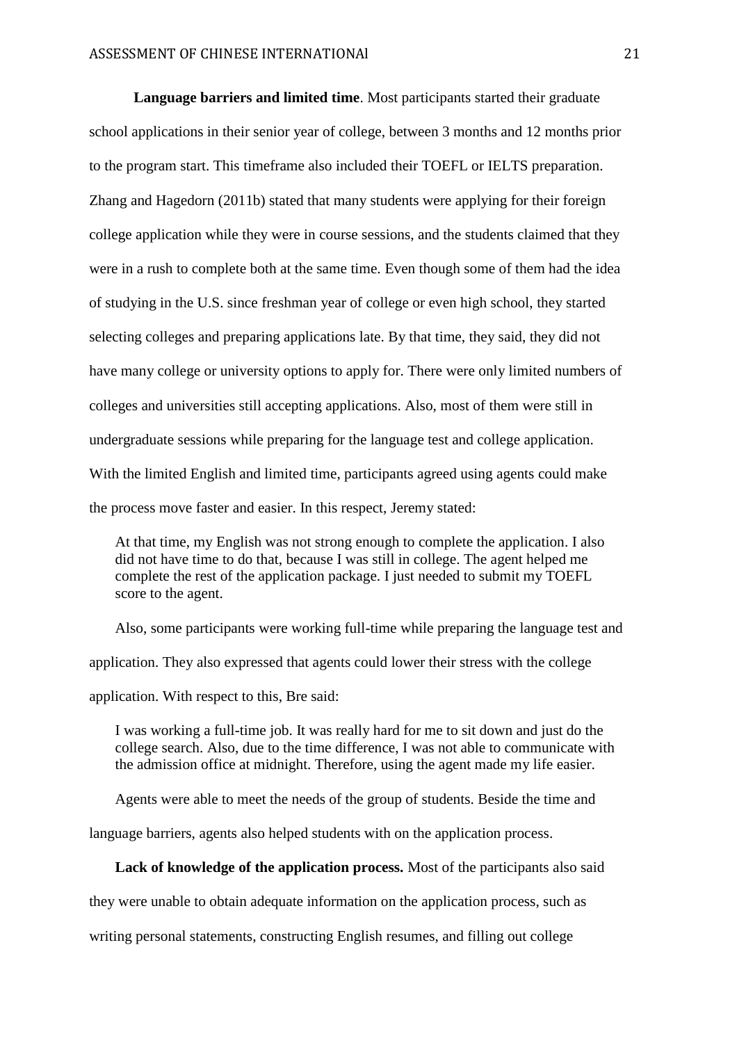**Language barriers and limited time**. Most participants started their graduate school applications in their senior year of college, between 3 months and 12 months prior to the program start. This timeframe also included their TOEFL or IELTS preparation. Zhang and Hagedorn (2011b) stated that many students were applying for their foreign college application while they were in course sessions, and the students claimed that they were in a rush to complete both at the same time. Even though some of them had the idea of studying in the U.S. since freshman year of college or even high school, they started selecting colleges and preparing applications late. By that time, they said, they did not have many college or university options to apply for. There were only limited numbers of colleges and universities still accepting applications. Also, most of them were still in undergraduate sessions while preparing for the language test and college application. With the limited English and limited time, participants agreed using agents could make the process move faster and easier. In this respect, Jeremy stated:

At that time, my English was not strong enough to complete the application. I also did not have time to do that, because I was still in college. The agent helped me complete the rest of the application package. I just needed to submit my TOEFL score to the agent.

Also, some participants were working full-time while preparing the language test and application. They also expressed that agents could lower their stress with the college application. With respect to this, Bre said:

I was working a full-time job. It was really hard for me to sit down and just do the college search. Also, due to the time difference, I was not able to communicate with the admission office at midnight. Therefore, using the agent made my life easier.

Agents were able to meet the needs of the group of students. Beside the time and

language barriers, agents also helped students with on the application process.

**Lack of knowledge of the application process.** Most of the participants also said

they were unable to obtain adequate information on the application process, such as

writing personal statements, constructing English resumes, and filling out college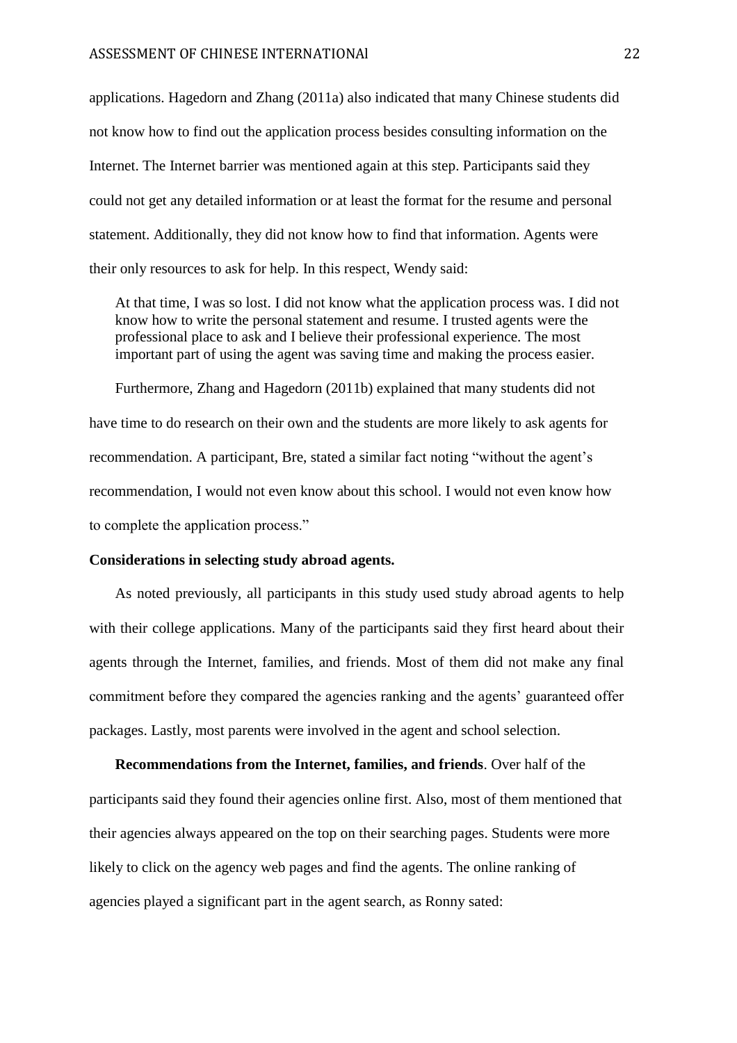applications. Hagedorn and Zhang (2011a) also indicated that many Chinese students did not know how to find out the application process besides consulting information on the Internet. The Internet barrier was mentioned again at this step. Participants said they could not get any detailed information or at least the format for the resume and personal statement. Additionally, they did not know how to find that information. Agents were their only resources to ask for help. In this respect, Wendy said:

At that time, I was so lost. I did not know what the application process was. I did not know how to write the personal statement and resume. I trusted agents were the professional place to ask and I believe their professional experience. The most important part of using the agent was saving time and making the process easier.

Furthermore, Zhang and Hagedorn (2011b) explained that many students did not have time to do research on their own and the students are more likely to ask agents for recommendation. A participant, Bre, stated a similar fact noting "without the agent's recommendation, I would not even know about this school. I would not even know how to complete the application process."

#### **Considerations in selecting study abroad agents.**

As noted previously, all participants in this study used study abroad agents to help with their college applications. Many of the participants said they first heard about their agents through the Internet, families, and friends. Most of them did not make any final commitment before they compared the agencies ranking and the agents' guaranteed offer packages. Lastly, most parents were involved in the agent and school selection.

**Recommendations from the Internet, families, and friends**. Over half of the participants said they found their agencies online first. Also, most of them mentioned that their agencies always appeared on the top on their searching pages. Students were more likely to click on the agency web pages and find the agents. The online ranking of agencies played a significant part in the agent search, as Ronny sated: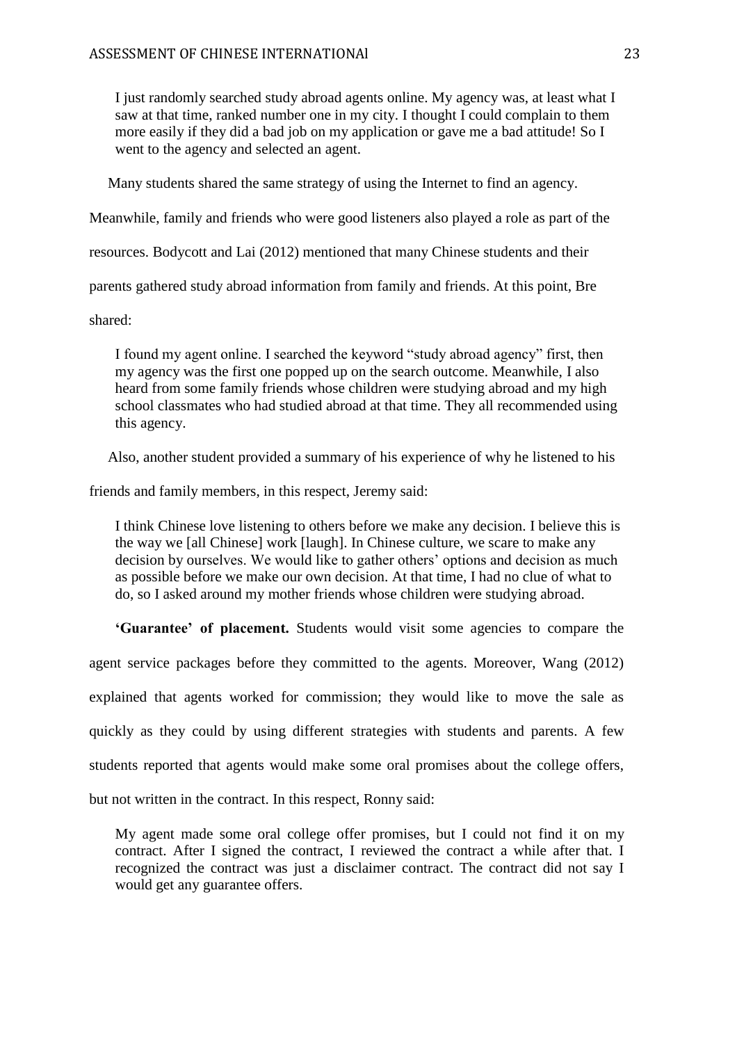I just randomly searched study abroad agents online. My agency was, at least what I saw at that time, ranked number one in my city. I thought I could complain to them more easily if they did a bad job on my application or gave me a bad attitude! So I went to the agency and selected an agent.

Many students shared the same strategy of using the Internet to find an agency.

Meanwhile, family and friends who were good listeners also played a role as part of the

resources. Bodycott and Lai (2012) mentioned that many Chinese students and their

parents gathered study abroad information from family and friends. At this point, Bre

shared:

I found my agent online. I searched the keyword "study abroad agency" first, then my agency was the first one popped up on the search outcome. Meanwhile, I also heard from some family friends whose children were studying abroad and my high school classmates who had studied abroad at that time. They all recommended using this agency.

Also, another student provided a summary of his experience of why he listened to his

friends and family members, in this respect, Jeremy said:

I think Chinese love listening to others before we make any decision. I believe this is the way we [all Chinese] work [laugh]. In Chinese culture, we scare to make any decision by ourselves. We would like to gather others' options and decision as much as possible before we make our own decision. At that time, I had no clue of what to do, so I asked around my mother friends whose children were studying abroad.

**'Guarantee' of placement.** Students would visit some agencies to compare the agent service packages before they committed to the agents. Moreover, Wang (2012) explained that agents worked for commission; they would like to move the sale as quickly as they could by using different strategies with students and parents. A few students reported that agents would make some oral promises about the college offers, but not written in the contract. In this respect, Ronny said:

My agent made some oral college offer promises, but I could not find it on my contract. After I signed the contract, I reviewed the contract a while after that. I recognized the contract was just a disclaimer contract. The contract did not say I would get any guarantee offers.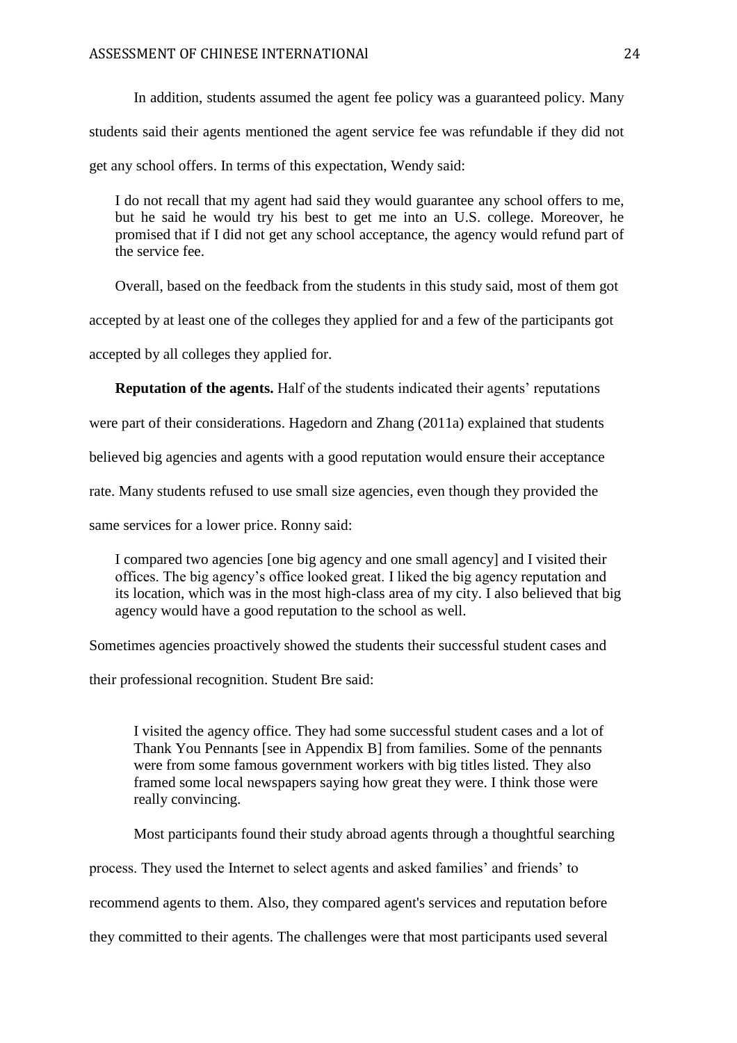In addition, students assumed the agent fee policy was a guaranteed policy. Many students said their agents mentioned the agent service fee was refundable if they did not get any school offers. In terms of this expectation, Wendy said:

I do not recall that my agent had said they would guarantee any school offers to me, but he said he would try his best to get me into an U.S. college. Moreover, he promised that if I did not get any school acceptance, the agency would refund part of the service fee.

Overall, based on the feedback from the students in this study said, most of them got

accepted by at least one of the colleges they applied for and a few of the participants got

accepted by all colleges they applied for.

**Reputation of the agents.** Half of the students indicated their agents' reputations

were part of their considerations. Hagedorn and Zhang (2011a) explained that students

believed big agencies and agents with a good reputation would ensure their acceptance

rate. Many students refused to use small size agencies, even though they provided the

same services for a lower price. Ronny said:

I compared two agencies [one big agency and one small agency] and I visited their offices. The big agency's office looked great. I liked the big agency reputation and its location, which was in the most high-class area of my city. I also believed that big agency would have a good reputation to the school as well.

Sometimes agencies proactively showed the students their successful student cases and

their professional recognition. Student Bre said:

I visited the agency office. They had some successful student cases and a lot of Thank You Pennants [see in Appendix B] from families. Some of the pennants were from some famous government workers with big titles listed. They also framed some local newspapers saying how great they were. I think those were really convincing.

Most participants found their study abroad agents through a thoughtful searching

process. They used the Internet to select agents and asked families' and friends' to

recommend agents to them. Also, they compared agent's services and reputation before

they committed to their agents. The challenges were that most participants used several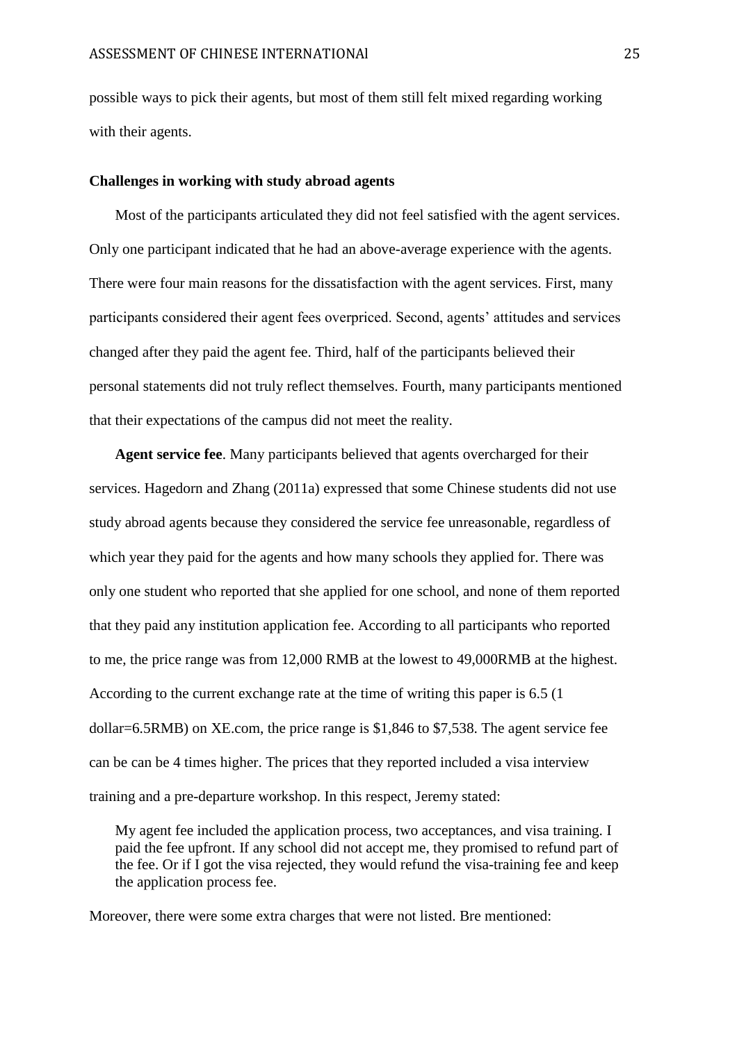possible ways to pick their agents, but most of them still felt mixed regarding working with their agents.

## **Challenges in working with study abroad agents**

Most of the participants articulated they did not feel satisfied with the agent services. Only one participant indicated that he had an above-average experience with the agents. There were four main reasons for the dissatisfaction with the agent services. First, many participants considered their agent fees overpriced. Second, agents' attitudes and services changed after they paid the agent fee. Third, half of the participants believed their personal statements did not truly reflect themselves. Fourth, many participants mentioned that their expectations of the campus did not meet the reality.

**Agent service fee**. Many participants believed that agents overcharged for their services. Hagedorn and Zhang (2011a) expressed that some Chinese students did not use study abroad agents because they considered the service fee unreasonable, regardless of which year they paid for the agents and how many schools they applied for. There was only one student who reported that she applied for one school, and none of them reported that they paid any institution application fee. According to all participants who reported to me, the price range was from 12,000 RMB at the lowest to 49,000RMB at the highest. According to the current exchange rate at the time of writing this paper is 6.5 (1 dollar=6.5RMB) on XE.com, the price range is \$1,846 to \$7,538. The agent service fee can be can be 4 times higher. The prices that they reported included a visa interview training and a pre-departure workshop. In this respect, Jeremy stated:

My agent fee included the application process, two acceptances, and visa training. I paid the fee upfront. If any school did not accept me, they promised to refund part of the fee. Or if I got the visa rejected, they would refund the visa-training fee and keep the application process fee.

Moreover, there were some extra charges that were not listed. Bre mentioned: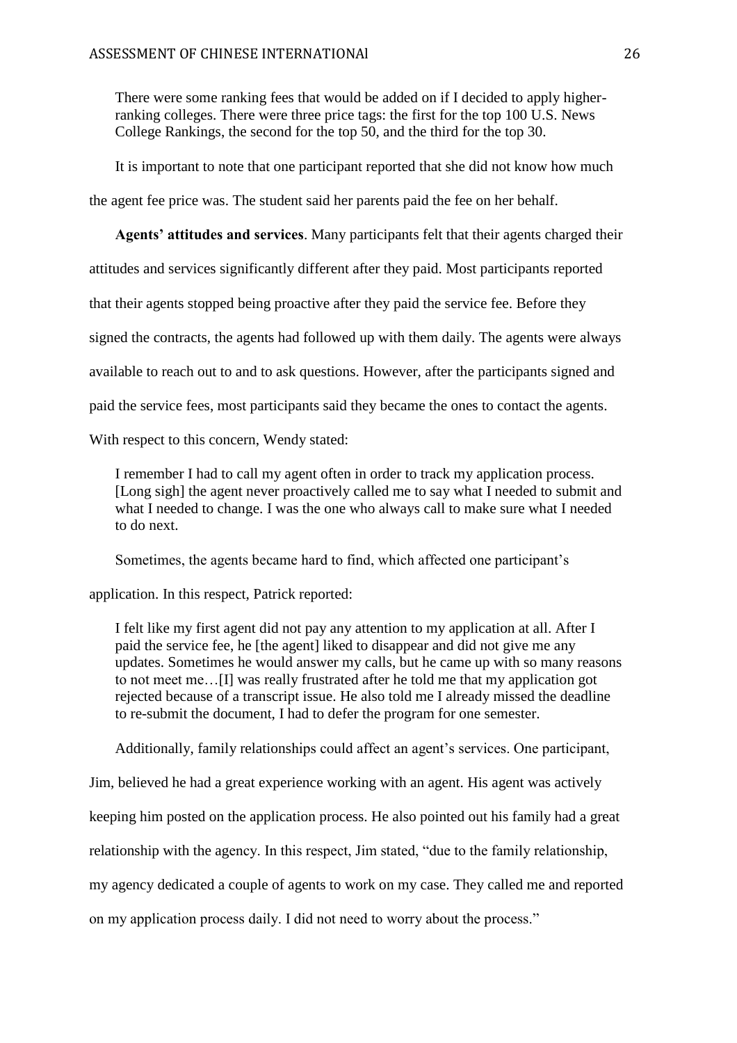There were some ranking fees that would be added on if I decided to apply higherranking colleges. There were three price tags: the first for the top 100 U.S. News College Rankings, the second for the top 50, and the third for the top 30.

It is important to note that one participant reported that she did not know how much

the agent fee price was. The student said her parents paid the fee on her behalf.

**Agents' attitudes and services**. Many participants felt that their agents charged their

attitudes and services significantly different after they paid. Most participants reported

that their agents stopped being proactive after they paid the service fee. Before they

signed the contracts, the agents had followed up with them daily. The agents were always

available to reach out to and to ask questions. However, after the participants signed and

paid the service fees, most participants said they became the ones to contact the agents.

With respect to this concern, Wendy stated:

I remember I had to call my agent often in order to track my application process. [Long sigh] the agent never proactively called me to say what I needed to submit and what I needed to change. I was the one who always call to make sure what I needed to do next.

Sometimes, the agents became hard to find, which affected one participant's

application. In this respect, Patrick reported:

I felt like my first agent did not pay any attention to my application at all. After I paid the service fee, he [the agent] liked to disappear and did not give me any updates. Sometimes he would answer my calls, but he came up with so many reasons to not meet me…[I] was really frustrated after he told me that my application got rejected because of a transcript issue. He also told me I already missed the deadline to re-submit the document, I had to defer the program for one semester.

Additionally, family relationships could affect an agent's services. One participant,

Jim, believed he had a great experience working with an agent. His agent was actively

keeping him posted on the application process. He also pointed out his family had a great

relationship with the agency. In this respect, Jim stated, "due to the family relationship,

my agency dedicated a couple of agents to work on my case. They called me and reported

on my application process daily. I did not need to worry about the process."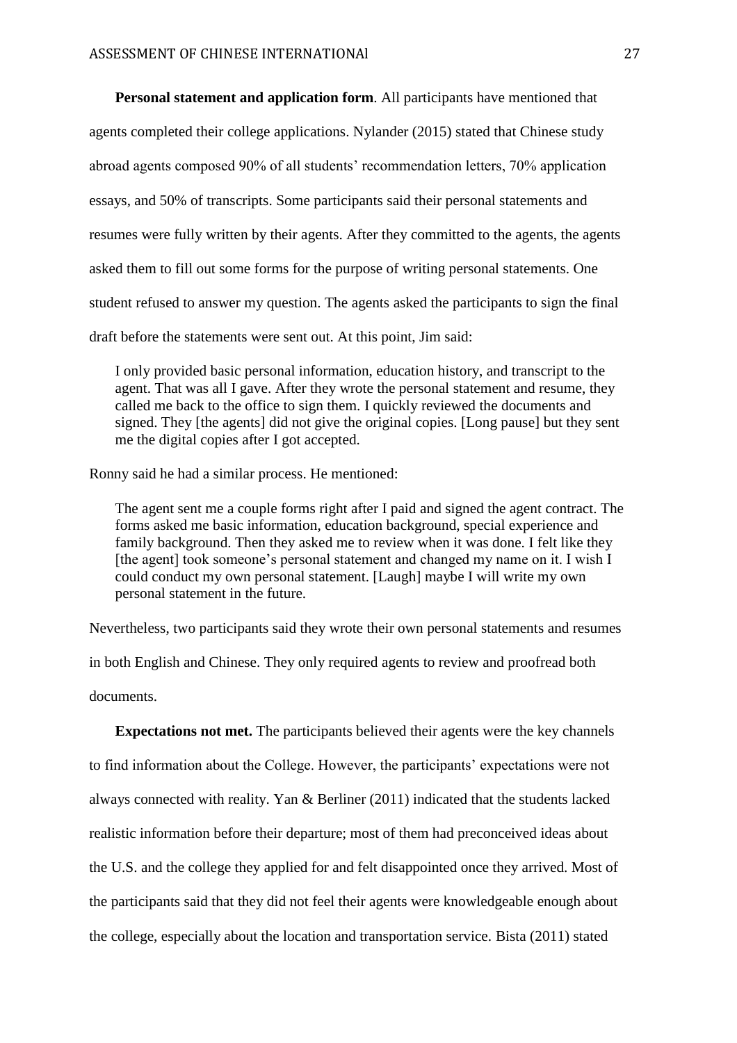**Personal statement and application form**. All participants have mentioned that agents completed their college applications. Nylander (2015) stated that Chinese study abroad agents composed 90% of all students' recommendation letters, 70% application essays, and 50% of transcripts. Some participants said their personal statements and resumes were fully written by their agents. After they committed to the agents, the agents asked them to fill out some forms for the purpose of writing personal statements. One student refused to answer my question. The agents asked the participants to sign the final draft before the statements were sent out. At this point, Jim said:

I only provided basic personal information, education history, and transcript to the agent. That was all I gave. After they wrote the personal statement and resume, they called me back to the office to sign them. I quickly reviewed the documents and signed. They [the agents] did not give the original copies. [Long pause] but they sent me the digital copies after I got accepted.

Ronny said he had a similar process. He mentioned:

The agent sent me a couple forms right after I paid and signed the agent contract. The forms asked me basic information, education background, special experience and family background. Then they asked me to review when it was done. I felt like they [the agent] took someone's personal statement and changed my name on it. I wish I could conduct my own personal statement. [Laugh] maybe I will write my own personal statement in the future.

Nevertheless, two participants said they wrote their own personal statements and resumes

in both English and Chinese. They only required agents to review and proofread both documents.

**Expectations not met.** The participants believed their agents were the key channels to find information about the College. However, the participants' expectations were not always connected with reality. Yan & Berliner (2011) indicated that the students lacked realistic information before their departure; most of them had preconceived ideas about the U.S. and the college they applied for and felt disappointed once they arrived. Most of the participants said that they did not feel their agents were knowledgeable enough about the college, especially about the location and transportation service. Bista (2011) stated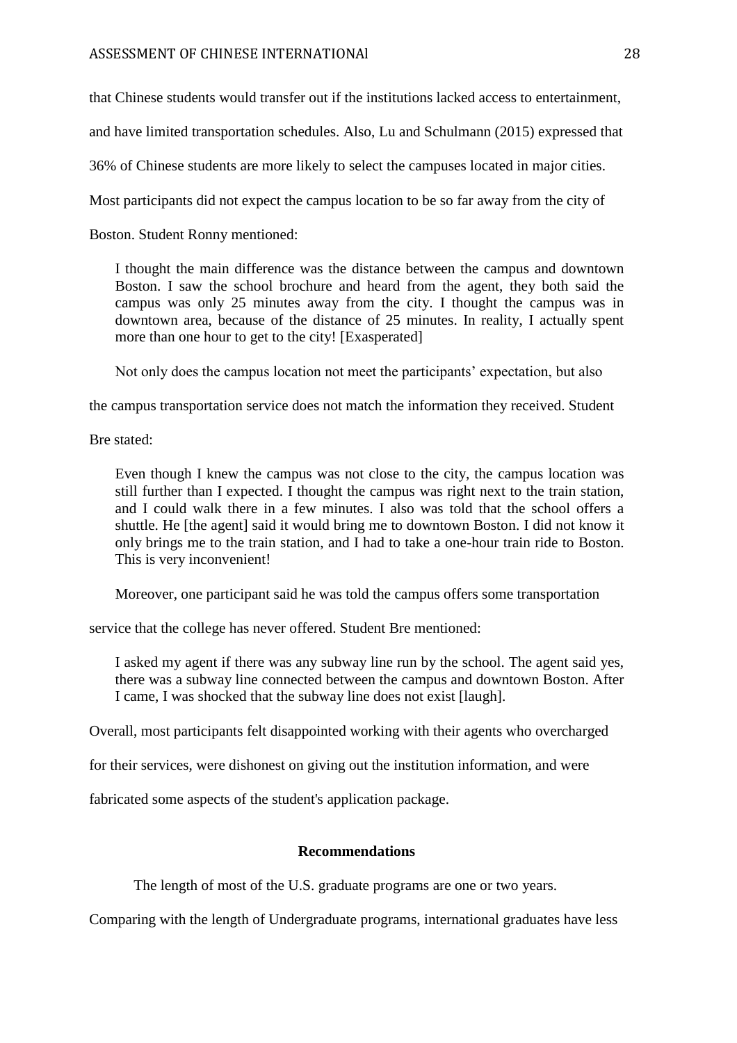that Chinese students would transfer out if the institutions lacked access to entertainment,

and have limited transportation schedules. Also, Lu and Schulmann (2015) expressed that

36% of Chinese students are more likely to select the campuses located in major cities.

Most participants did not expect the campus location to be so far away from the city of

Boston. Student Ronny mentioned:

I thought the main difference was the distance between the campus and downtown Boston. I saw the school brochure and heard from the agent, they both said the campus was only 25 minutes away from the city. I thought the campus was in downtown area, because of the distance of 25 minutes. In reality, I actually spent more than one hour to get to the city! [Exasperated]

Not only does the campus location not meet the participants' expectation, but also

the campus transportation service does not match the information they received. Student

Bre stated:

Even though I knew the campus was not close to the city, the campus location was still further than I expected. I thought the campus was right next to the train station, and I could walk there in a few minutes. I also was told that the school offers a shuttle. He [the agent] said it would bring me to downtown Boston. I did not know it only brings me to the train station, and I had to take a one-hour train ride to Boston. This is very inconvenient!

Moreover, one participant said he was told the campus offers some transportation

service that the college has never offered. Student Bre mentioned:

I asked my agent if there was any subway line run by the school. The agent said yes, there was a subway line connected between the campus and downtown Boston. After I came, I was shocked that the subway line does not exist [laugh].

Overall, most participants felt disappointed working with their agents who overcharged

for their services, were dishonest on giving out the institution information, and were

fabricated some aspects of the student's application package.

### **Recommendations**

The length of most of the U.S. graduate programs are one or two years.

Comparing with the length of Undergraduate programs, international graduates have less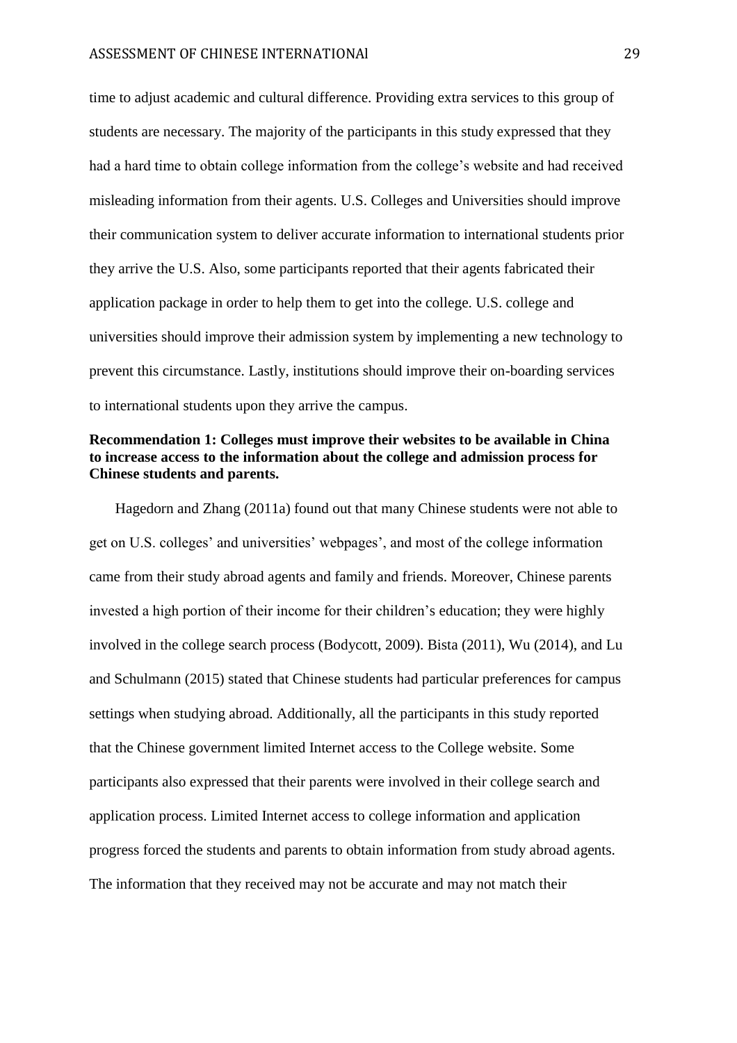time to adjust academic and cultural difference. Providing extra services to this group of students are necessary. The majority of the participants in this study expressed that they had a hard time to obtain college information from the college's website and had received misleading information from their agents. U.S. Colleges and Universities should improve their communication system to deliver accurate information to international students prior they arrive the U.S. Also, some participants reported that their agents fabricated their application package in order to help them to get into the college. U.S. college and universities should improve their admission system by implementing a new technology to prevent this circumstance. Lastly, institutions should improve their on-boarding services to international students upon they arrive the campus.

# **Recommendation 1: Colleges must improve their websites to be available in China to increase access to the information about the college and admission process for Chinese students and parents.**

Hagedorn and Zhang (2011a) found out that many Chinese students were not able to get on U.S. colleges' and universities' webpages', and most of the college information came from their study abroad agents and family and friends. Moreover, Chinese parents invested a high portion of their income for their children's education; they were highly involved in the college search process (Bodycott, 2009). Bista (2011), Wu (2014), and Lu and Schulmann (2015) stated that Chinese students had particular preferences for campus settings when studying abroad. Additionally, all the participants in this study reported that the Chinese government limited Internet access to the College website. Some participants also expressed that their parents were involved in their college search and application process. Limited Internet access to college information and application progress forced the students and parents to obtain information from study abroad agents. The information that they received may not be accurate and may not match their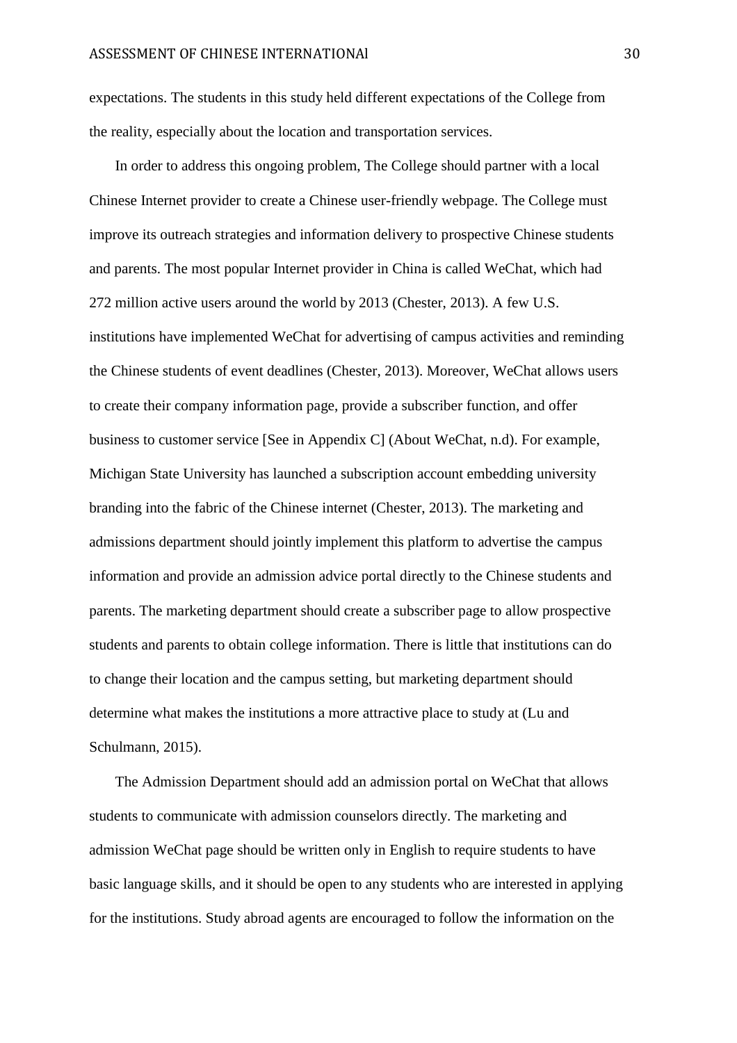expectations. The students in this study held different expectations of the College from the reality, especially about the location and transportation services.

In order to address this ongoing problem, The College should partner with a local Chinese Internet provider to create a Chinese user-friendly webpage. The College must improve its outreach strategies and information delivery to prospective Chinese students and parents. The most popular Internet provider in China is called WeChat, which had 272 million active users around the world by 2013 (Chester, 2013). A few U.S. institutions have implemented WeChat for advertising of campus activities and reminding the Chinese students of event deadlines (Chester, 2013). Moreover, WeChat allows users to create their company information page, provide a subscriber function, and offer business to customer service [See in Appendix C] (About WeChat, n.d). For example, Michigan State University has launched a subscription account embedding university branding into the fabric of the Chinese internet (Chester, 2013). The marketing and admissions department should jointly implement this platform to advertise the campus information and provide an admission advice portal directly to the Chinese students and parents. The marketing department should create a subscriber page to allow prospective students and parents to obtain college information. There is little that institutions can do to change their location and the campus setting, but marketing department should determine what makes the institutions a more attractive place to study at (Lu and Schulmann, 2015).

The Admission Department should add an admission portal on WeChat that allows students to communicate with admission counselors directly. The marketing and admission WeChat page should be written only in English to require students to have basic language skills, and it should be open to any students who are interested in applying for the institutions. Study abroad agents are encouraged to follow the information on the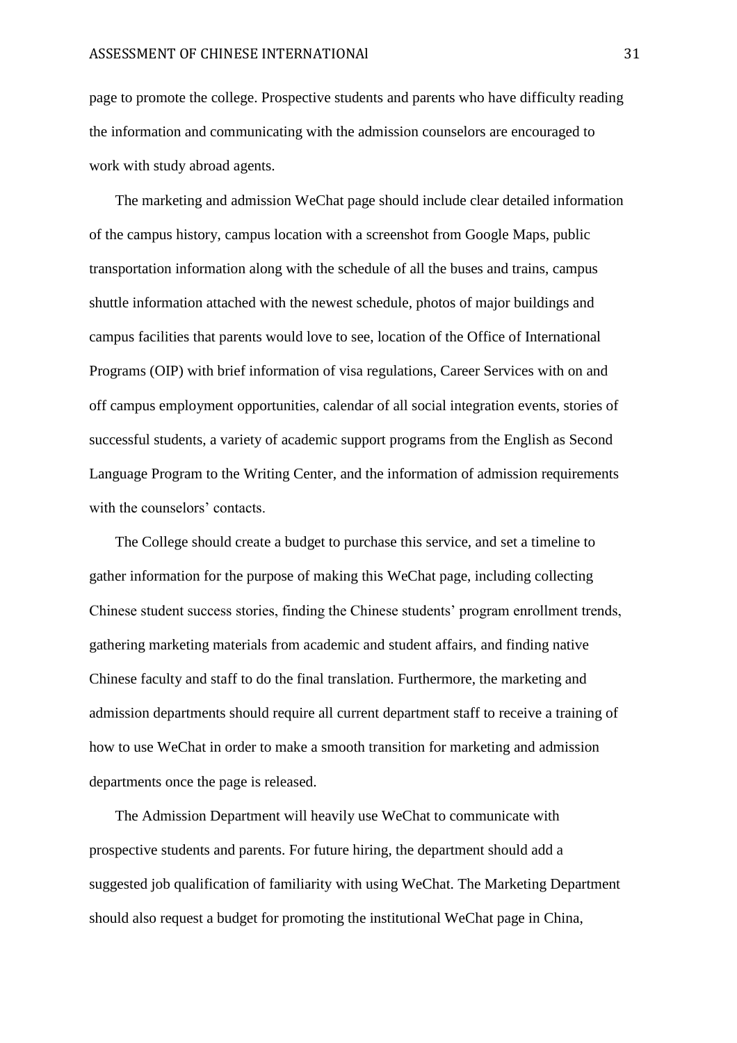page to promote the college. Prospective students and parents who have difficulty reading the information and communicating with the admission counselors are encouraged to work with study abroad agents.

The marketing and admission WeChat page should include clear detailed information of the campus history, campus location with a screenshot from Google Maps, public transportation information along with the schedule of all the buses and trains, campus shuttle information attached with the newest schedule, photos of major buildings and campus facilities that parents would love to see, location of the Office of International Programs (OIP) with brief information of visa regulations, Career Services with on and off campus employment opportunities, calendar of all social integration events, stories of successful students, a variety of academic support programs from the English as Second Language Program to the Writing Center, and the information of admission requirements with the counselors' contacts.

The College should create a budget to purchase this service, and set a timeline to gather information for the purpose of making this WeChat page, including collecting Chinese student success stories, finding the Chinese students' program enrollment trends, gathering marketing materials from academic and student affairs, and finding native Chinese faculty and staff to do the final translation. Furthermore, the marketing and admission departments should require all current department staff to receive a training of how to use WeChat in order to make a smooth transition for marketing and admission departments once the page is released.

The Admission Department will heavily use WeChat to communicate with prospective students and parents. For future hiring, the department should add a suggested job qualification of familiarity with using WeChat. The Marketing Department should also request a budget for promoting the institutional WeChat page in China,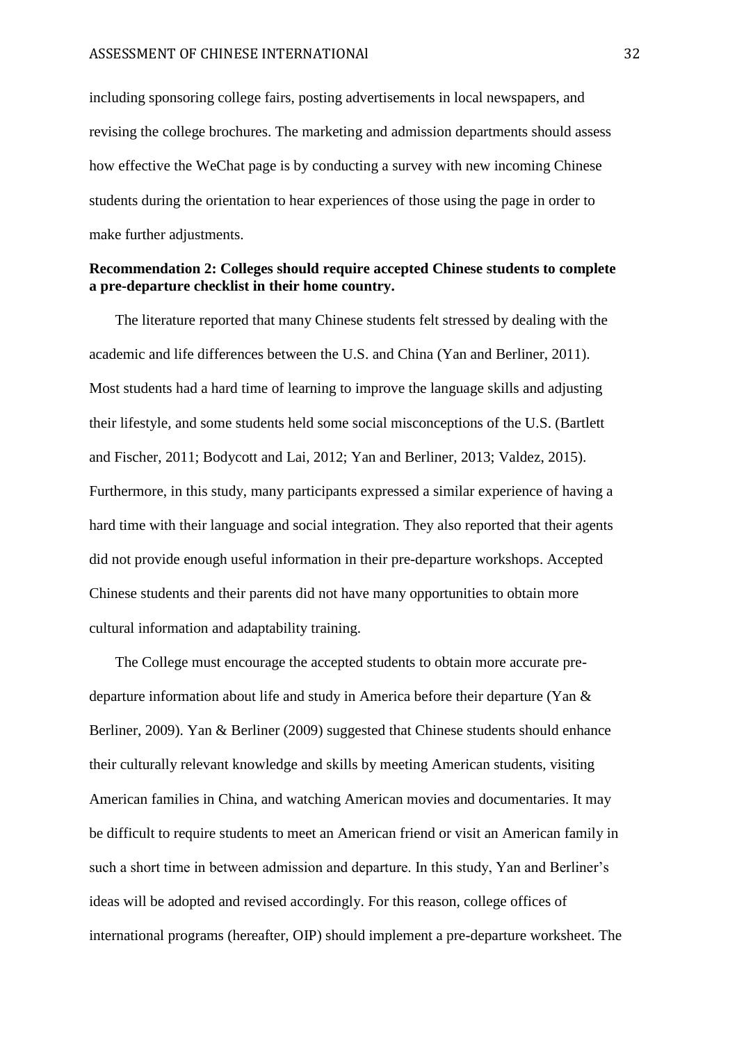including sponsoring college fairs, posting advertisements in local newspapers, and revising the college brochures. The marketing and admission departments should assess how effective the WeChat page is by conducting a survey with new incoming Chinese students during the orientation to hear experiences of those using the page in order to make further adjustments.

# **Recommendation 2: Colleges should require accepted Chinese students to complete a pre-departure checklist in their home country.**

The literature reported that many Chinese students felt stressed by dealing with the academic and life differences between the U.S. and China (Yan and Berliner, 2011). Most students had a hard time of learning to improve the language skills and adjusting their lifestyle, and some students held some social misconceptions of the U.S. (Bartlett and Fischer, 2011; Bodycott and Lai, 2012; Yan and Berliner, 2013; Valdez, 2015). Furthermore, in this study, many participants expressed a similar experience of having a hard time with their language and social integration. They also reported that their agents did not provide enough useful information in their pre-departure workshops. Accepted Chinese students and their parents did not have many opportunities to obtain more cultural information and adaptability training.

The College must encourage the accepted students to obtain more accurate predeparture information about life and study in America before their departure (Yan & Berliner, 2009). Yan & Berliner (2009) suggested that Chinese students should enhance their culturally relevant knowledge and skills by meeting American students, visiting American families in China, and watching American movies and documentaries. It may be difficult to require students to meet an American friend or visit an American family in such a short time in between admission and departure. In this study, Yan and Berliner's ideas will be adopted and revised accordingly. For this reason, college offices of international programs (hereafter, OIP) should implement a pre-departure worksheet. The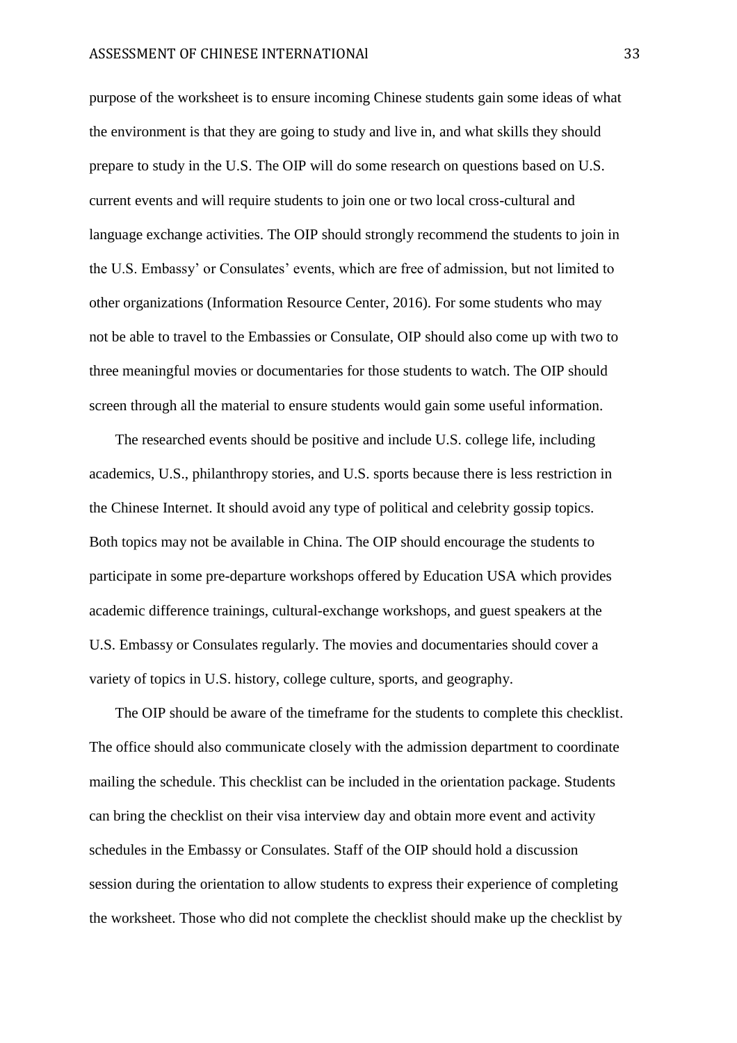purpose of the worksheet is to ensure incoming Chinese students gain some ideas of what the environment is that they are going to study and live in, and what skills they should prepare to study in the U.S. The OIP will do some research on questions based on U.S. current events and will require students to join one or two local cross-cultural and language exchange activities. The OIP should strongly recommend the students to join in the U.S. Embassy' or Consulates' events, which are free of admission, but not limited to other organizations (Information Resource Center, 2016). For some students who may not be able to travel to the Embassies or Consulate, OIP should also come up with two to three meaningful movies or documentaries for those students to watch. The OIP should screen through all the material to ensure students would gain some useful information.

The researched events should be positive and include U.S. college life, including academics, U.S., philanthropy stories, and U.S. sports because there is less restriction in the Chinese Internet. It should avoid any type of political and celebrity gossip topics. Both topics may not be available in China. The OIP should encourage the students to participate in some pre-departure workshops offered by Education USA which provides academic difference trainings, cultural-exchange workshops, and guest speakers at the U.S. Embassy or Consulates regularly. The movies and documentaries should cover a variety of topics in U.S. history, college culture, sports, and geography.

The OIP should be aware of the timeframe for the students to complete this checklist. The office should also communicate closely with the admission department to coordinate mailing the schedule. This checklist can be included in the orientation package. Students can bring the checklist on their visa interview day and obtain more event and activity schedules in the Embassy or Consulates. Staff of the OIP should hold a discussion session during the orientation to allow students to express their experience of completing the worksheet. Those who did not complete the checklist should make up the checklist by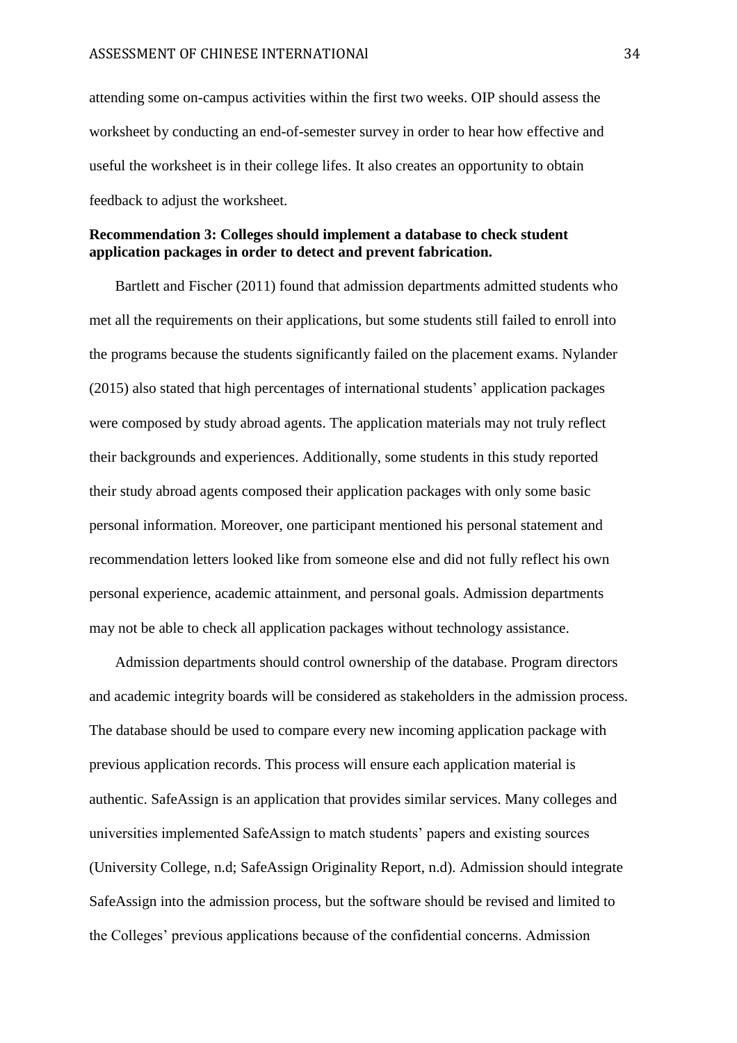attending some on-campus activities within the first two weeks. OIP should assess the worksheet by conducting an end-of-semester survey in order to hear how effective and useful the worksheet is in their college lifes. It also creates an opportunity to obtain feedback to adjust the worksheet.

## **Recommendation 3: Colleges should implement a database to check student application packages in order to detect and prevent fabrication.**

Bartlett and Fischer (2011) found that admission departments admitted students who met all the requirements on their applications, but some students still failed to enroll into the programs because the students significantly failed on the placement exams. Nylander (2015) also stated that high percentages of international students' application packages were composed by study abroad agents. The application materials may not truly reflect their backgrounds and experiences. Additionally, some students in this study reported their study abroad agents composed their application packages with only some basic personal information. Moreover, one participant mentioned his personal statement and recommendation letters looked like from someone else and did not fully reflect his own personal experience, academic attainment, and personal goals. Admission departments may not be able to check all application packages without technology assistance.

Admission departments should control ownership of the database. Program directors and academic integrity boards will be considered as stakeholders in the admission process. The database should be used to compare every new incoming application package with previous application records. This process will ensure each application material is authentic. SafeAssign is an application that provides similar services. Many colleges and universities implemented SafeAssign to match students' papers and existing sources (University College, n.d; SafeAssign Originality Report, n.d). Admission should integrate SafeAssign into the admission process, but the software should be revised and limited to the Colleges' previous applications because of the confidential concerns. Admission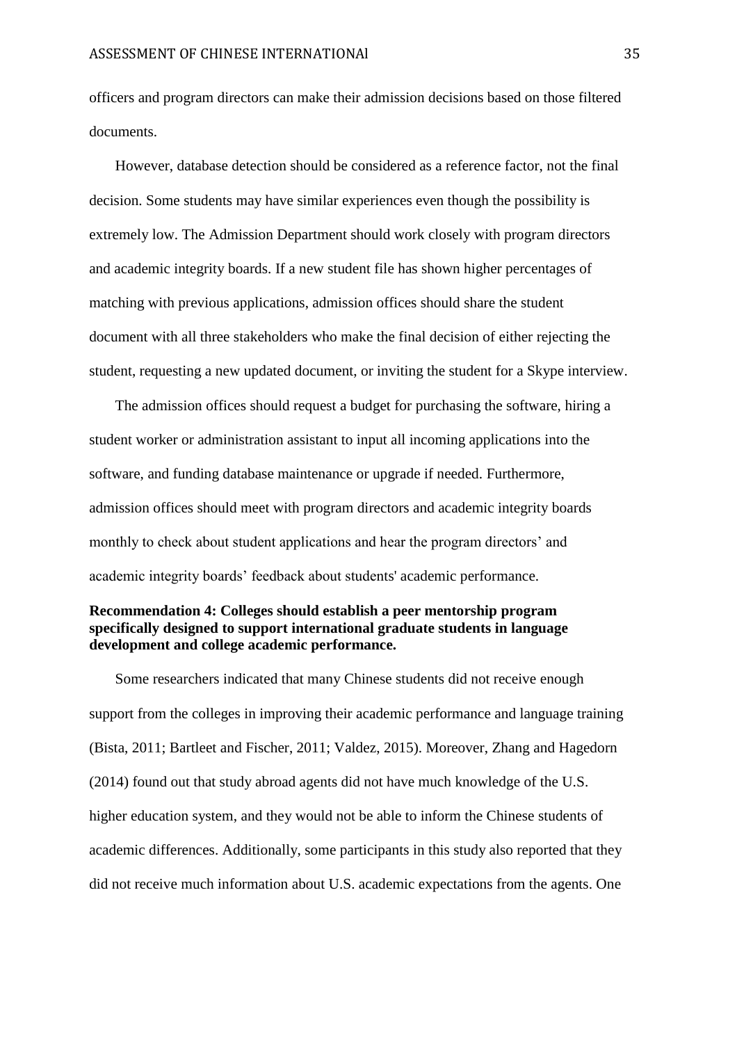officers and program directors can make their admission decisions based on those filtered documents.

However, database detection should be considered as a reference factor, not the final decision. Some students may have similar experiences even though the possibility is extremely low. The Admission Department should work closely with program directors and academic integrity boards. If a new student file has shown higher percentages of matching with previous applications, admission offices should share the student document with all three stakeholders who make the final decision of either rejecting the student, requesting a new updated document, or inviting the student for a Skype interview.

The admission offices should request a budget for purchasing the software, hiring a student worker or administration assistant to input all incoming applications into the software, and funding database maintenance or upgrade if needed. Furthermore, admission offices should meet with program directors and academic integrity boards monthly to check about student applications and hear the program directors' and academic integrity boards' feedback about students' academic performance.

# **Recommendation 4: Colleges should establish a peer mentorship program specifically designed to support international graduate students in language development and college academic performance.**

Some researchers indicated that many Chinese students did not receive enough support from the colleges in improving their academic performance and language training (Bista, 2011; Bartleet and Fischer, 2011; Valdez, 2015). Moreover, Zhang and Hagedorn (2014) found out that study abroad agents did not have much knowledge of the U.S. higher education system, and they would not be able to inform the Chinese students of academic differences. Additionally, some participants in this study also reported that they did not receive much information about U.S. academic expectations from the agents. One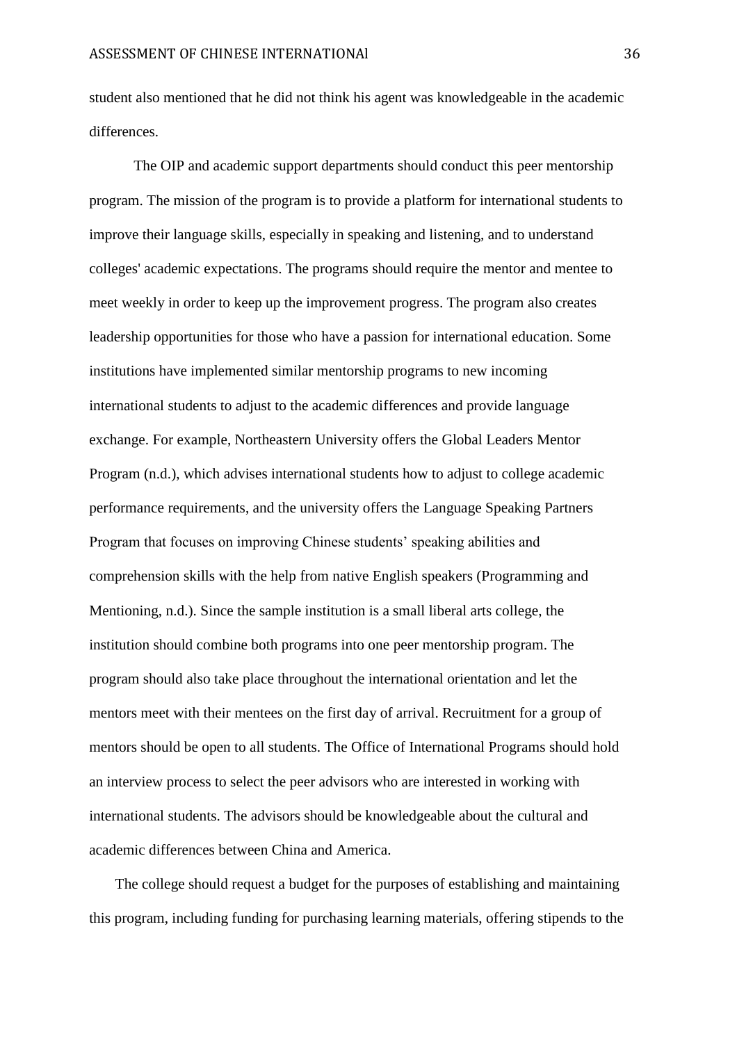student also mentioned that he did not think his agent was knowledgeable in the academic differences.

The OIP and academic support departments should conduct this peer mentorship program. The mission of the program is to provide a platform for international students to improve their language skills, especially in speaking and listening, and to understand colleges' academic expectations. The programs should require the mentor and mentee to meet weekly in order to keep up the improvement progress. The program also creates leadership opportunities for those who have a passion for international education. Some institutions have implemented similar mentorship programs to new incoming international students to adjust to the academic differences and provide language exchange. For example, Northeastern University offers the Global Leaders Mentor Program (n.d.), which advises international students how to adjust to college academic performance requirements, and the university offers the Language Speaking Partners Program that focuses on improving Chinese students' speaking abilities and comprehension skills with the help from native English speakers (Programming and Mentioning, n.d.). Since the sample institution is a small liberal arts college, the institution should combine both programs into one peer mentorship program. The program should also take place throughout the international orientation and let the mentors meet with their mentees on the first day of arrival. Recruitment for a group of mentors should be open to all students. The Office of International Programs should hold an interview process to select the peer advisors who are interested in working with international students. The advisors should be knowledgeable about the cultural and academic differences between China and America.

The college should request a budget for the purposes of establishing and maintaining this program, including funding for purchasing learning materials, offering stipends to the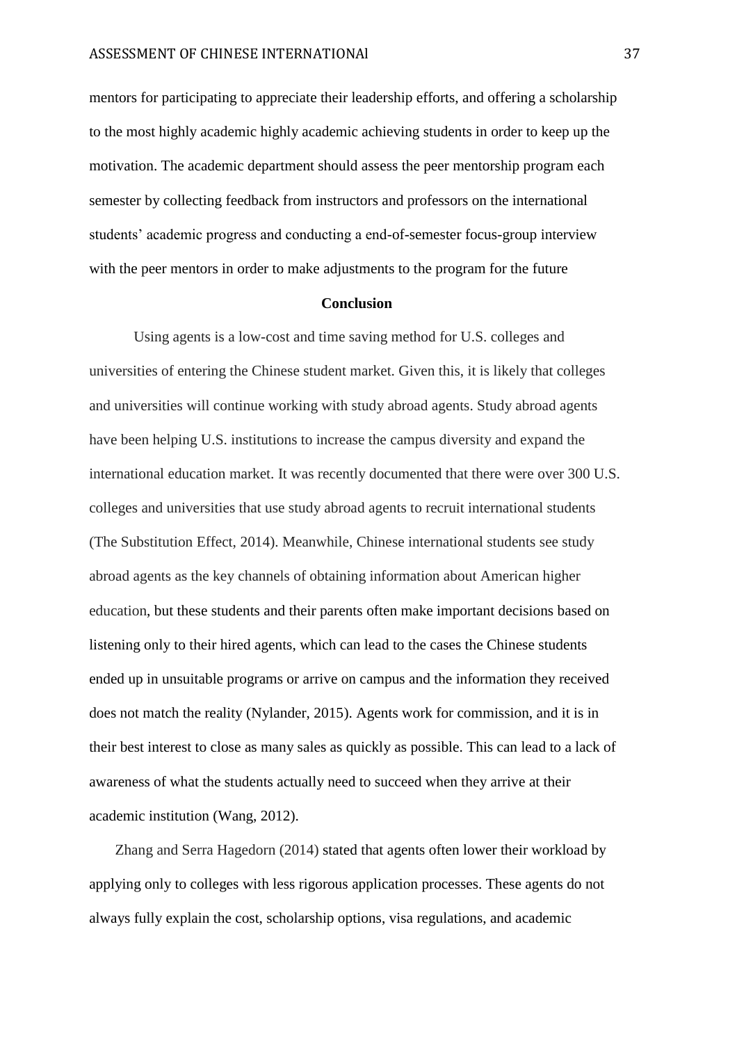mentors for participating to appreciate their leadership efforts, and offering a scholarship to the most highly academic highly academic achieving students in order to keep up the motivation. The academic department should assess the peer mentorship program each semester by collecting feedback from instructors and professors on the international students' academic progress and conducting a end-of-semester focus-group interview with the peer mentors in order to make adjustments to the program for the future

#### **Conclusion**

Using agents is a low-cost and time saving method for U.S. colleges and universities of entering the Chinese student market. Given this, it is likely that colleges and universities will continue working with study abroad agents. Study abroad agents have been helping U.S. institutions to increase the campus diversity and expand the international education market. It was recently documented that there were over 300 U.S. colleges and universities that use study abroad agents to recruit international students (The Substitution Effect, 2014). Meanwhile, Chinese international students see study abroad agents as the key channels of obtaining information about American higher education, but these students and their parents often make important decisions based on listening only to their hired agents, which can lead to the cases the Chinese students ended up in unsuitable programs or arrive on campus and the information they received does not match the reality (Nylander, 2015). Agents work for commission, and it is in their best interest to close as many sales as quickly as possible. This can lead to a lack of awareness of what the students actually need to succeed when they arrive at their academic institution (Wang, 2012).

Zhang and Serra Hagedorn (2014) stated that agents often lower their workload by applying only to colleges with less rigorous application processes. These agents do not always fully explain the cost, scholarship options, visa regulations, and academic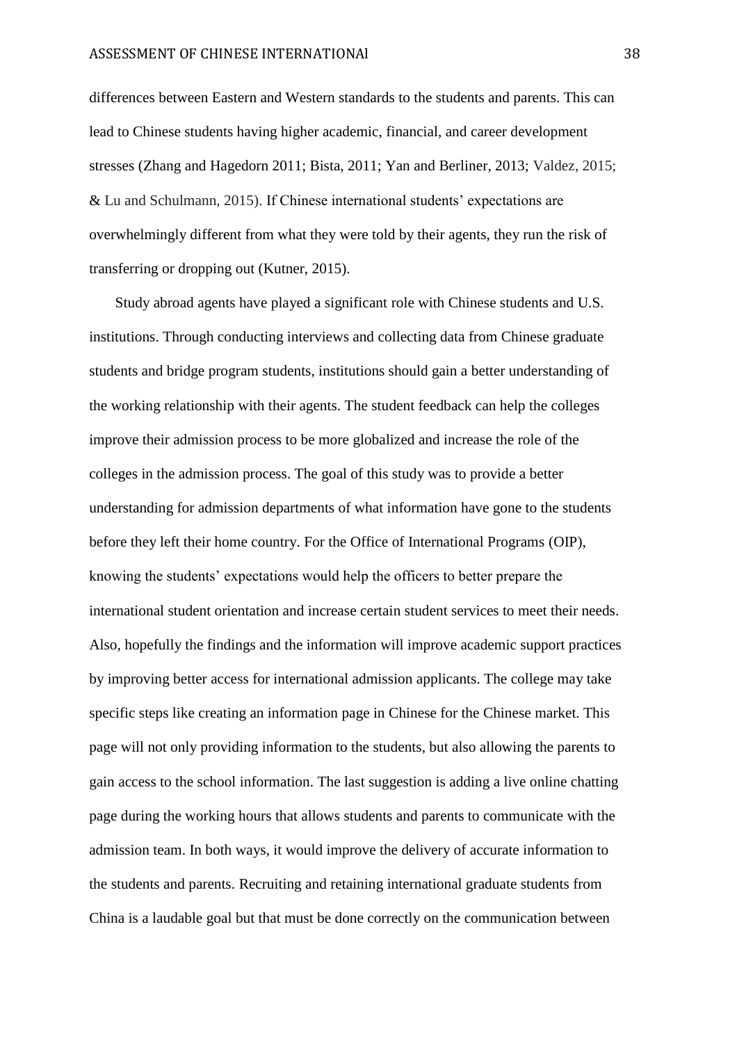differences between Eastern and Western standards to the students and parents. This can lead to Chinese students having higher academic, financial, and career development stresses (Zhang and Hagedorn 2011; Bista, 2011; Yan and Berliner, 2013; Valdez, 2015; & Lu and Schulmann, 2015). If Chinese international students' expectations are overwhelmingly different from what they were told by their agents, they run the risk of transferring or dropping out (Kutner, 2015).

Study abroad agents have played a significant role with Chinese students and U.S. institutions. Through conducting interviews and collecting data from Chinese graduate students and bridge program students, institutions should gain a better understanding of the working relationship with their agents. The student feedback can help the colleges improve their admission process to be more globalized and increase the role of the colleges in the admission process. The goal of this study was to provide a better understanding for admission departments of what information have gone to the students before they left their home country. For the Office of International Programs (OIP), knowing the students' expectations would help the officers to better prepare the international student orientation and increase certain student services to meet their needs. Also, hopefully the findings and the information will improve academic support practices by improving better access for international admission applicants. The college may take specific steps like creating an information page in Chinese for the Chinese market. This page will not only providing information to the students, but also allowing the parents to gain access to the school information. The last suggestion is adding a live online chatting page during the working hours that allows students and parents to communicate with the admission team. In both ways, it would improve the delivery of accurate information to the students and parents. Recruiting and retaining international graduate students from China is a laudable goal but that must be done correctly on the communication between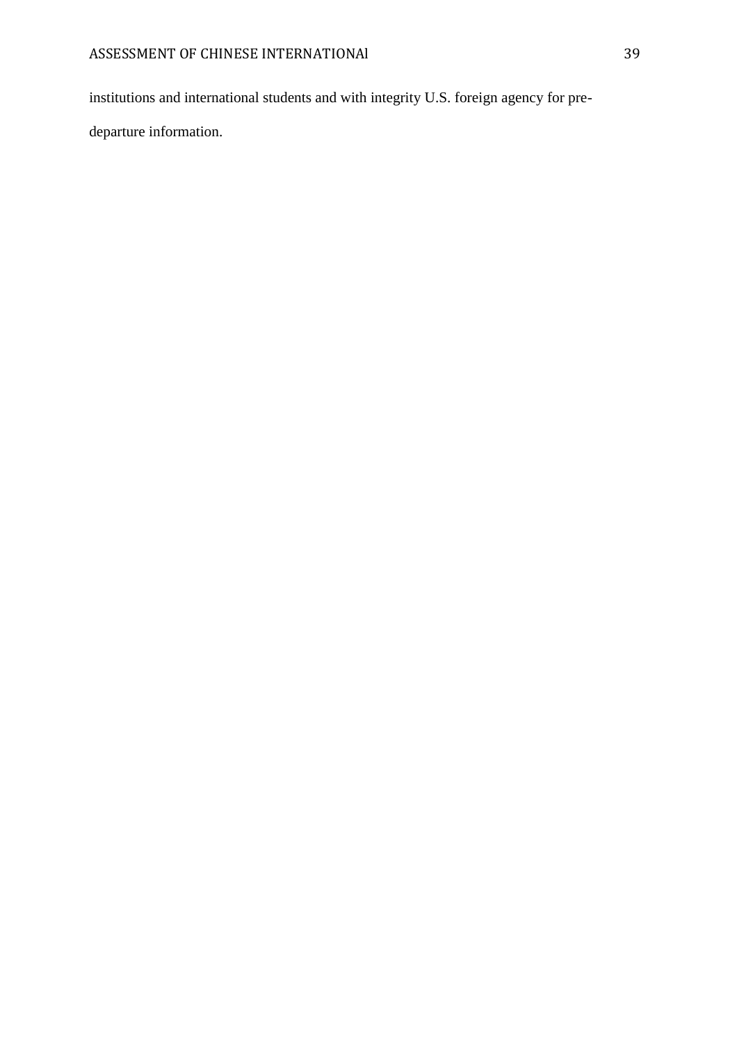institutions and international students and with integrity U.S. foreign agency for pre-

departure information.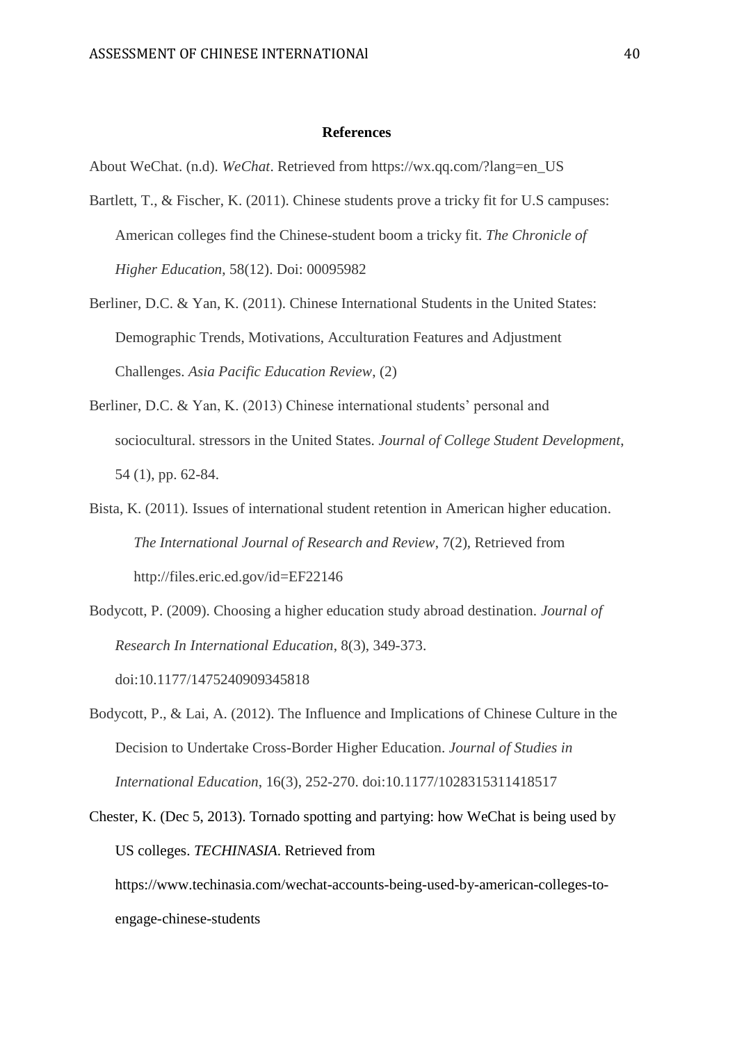#### **References**

About WeChat. (n.d). *WeChat*. Retrieved from https://wx.qq.com/?lang=en\_US

- Bartlett, T., & Fischer, K. (2011). Chinese students prove a tricky fit for U.S campuses: American colleges find the Chinese-student boom a tricky fit. *The Chronicle of Higher Education*, 58(12). Doi: 00095982
- Berliner, D.C. & Yan, K. (2011). Chinese International Students in the United States: Demographic Trends, Motivations, Acculturation Features and Adjustment Challenges. *Asia Pacific Education Review*, (2)
- Berliner, D.C. & Yan, K. (2013) Chinese international students' personal and sociocultural. stressors in the United States. *Journal of College Student Development*, 54 (1), pp. 62-84.
- Bista, K. (2011). Issues of international student retention in American higher education. *The International Journal of Research and Review*, 7(2), Retrieved from http://files.eric.ed.gov/id=EF22146
- Bodycott, P. (2009). Choosing a higher education study abroad destination. *Journal of Research In International Education*, 8(3), 349-373. doi:10.1177/1475240909345818
- Bodycott, P., & Lai, A. (2012). The Influence and Implications of Chinese Culture in the Decision to Undertake Cross-Border Higher Education. *Journal of Studies in International Education*, 16(3), 252-270. doi:10.1177/1028315311418517
- Chester, K. (Dec 5, 2013). Tornado spotting and partying: how WeChat is being used by US colleges. *TECHINASIA*. Retrieved from https://www.techinasia.com/wechat-accounts-being-used-by-american-colleges-toengage-chinese-students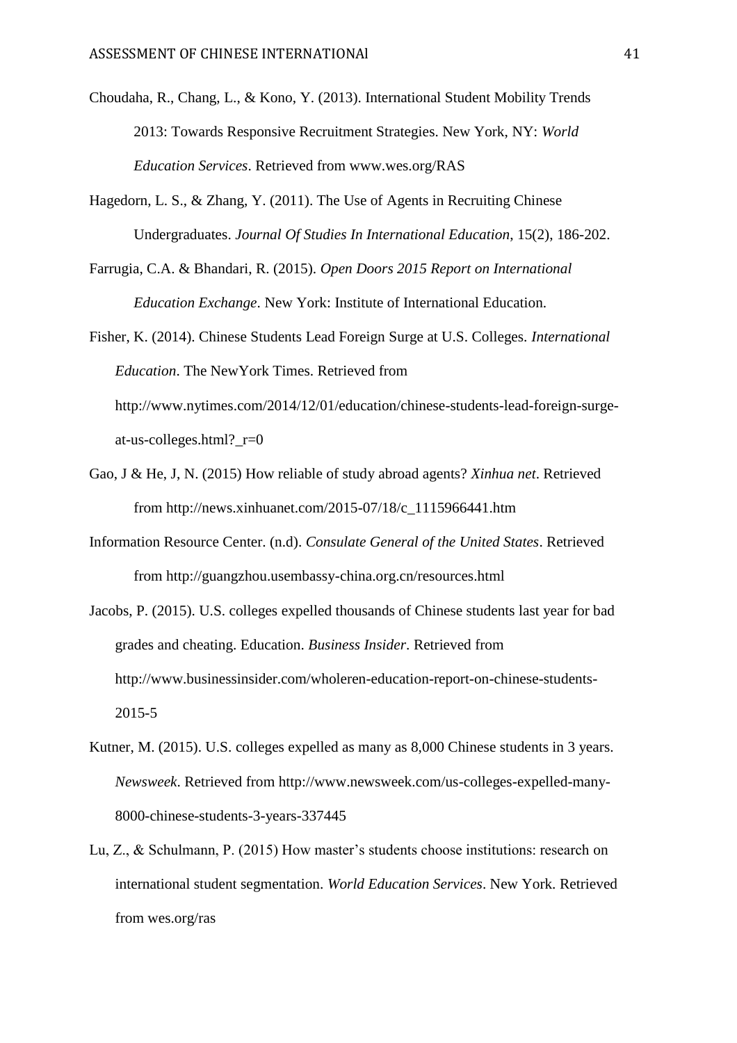- Choudaha, R., Chang, L., & Kono, Y. (2013). International Student Mobility Trends 2013: Towards Responsive Recruitment Strategies. New York, NY: *World Education Services*. Retrieved from www.wes.org/RAS
- Hagedorn, L. S., & Zhang, Y. (2011). The Use of Agents in Recruiting Chinese Undergraduates. *Journal Of Studies In International Education*, 15(2), 186-202.
- Farrugia, C.A. & Bhandari, R. (2015). *Open Doors 2015 Report on International Education Exchange*. New York: Institute of International Education.
- Fisher, K. (2014). Chinese Students Lead Foreign Surge at U.S. Colleges. *International Education*. The NewYork Times. Retrieved from http://www.nytimes.com/2014/12/01/education/chinese-students-lead-foreign-surgeat-us-colleges.html?\_r=0
- Gao, J & He, J, N. (2015) How reliable of study abroad agents? *Xinhua net*. Retrieved from http://news.xinhuanet.com/2015-07/18/c\_1115966441.htm
- Information Resource Center. (n.d). *Consulate General of the United States*. Retrieved from http://guangzhou.usembassy-china.org.cn/resources.html
- Jacobs, P. (2015). U.S. colleges expelled thousands of Chinese students last year for bad grades and cheating. Education. *Business Insider*. Retrieved from http://www.businessinsider.com/wholeren-education-report-on-chinese-students-2015-5
- Kutner, M. (2015). U.S. colleges expelled as many as 8,000 Chinese students in 3 years. *Newsweek*. Retrieved from http://www.newsweek.com/us-colleges-expelled-many-8000-chinese-students-3-years-337445
- Lu, Z., & Schulmann, P. (2015) How master's students choose institutions: research on international student segmentation. *World Education Services*. New York. Retrieved from wes.org/ras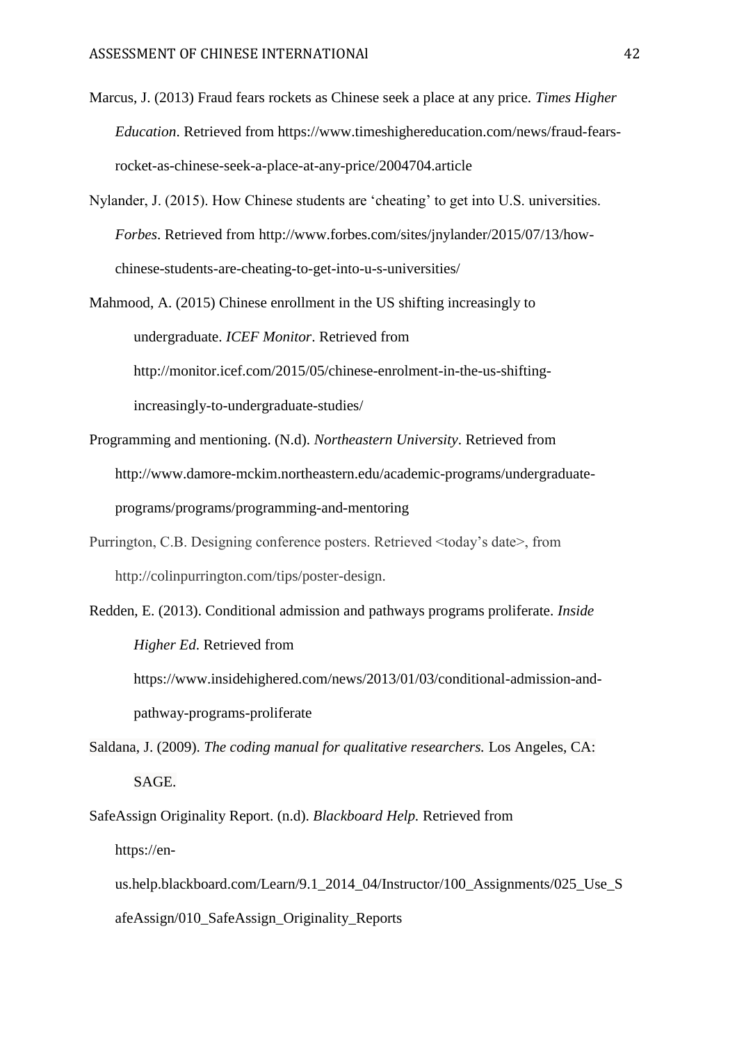- Marcus, J. (2013) Fraud fears rockets as Chinese seek a place at any price. *Times Higher Education*. Retrieved from https://www.timeshighereducation.com/news/fraud-fearsrocket-as-chinese-seek-a-place-at-any-price/2004704.article
- Nylander, J. (2015). How Chinese students are 'cheating' to get into U.S. universities. *Forbes*. Retrieved from http://www.forbes.com/sites/jnylander/2015/07/13/howchinese-students-are-cheating-to-get-into-u-s-universities/
- Mahmood, A. (2015) Chinese enrollment in the US shifting increasingly to undergraduate. *ICEF Monitor*. Retrieved from http://monitor.icef.com/2015/05/chinese-enrolment-in-the-us-shifting-

increasingly-to-undergraduate-studies/

- Programming and mentioning. (N.d). *Northeastern University*. Retrieved from http://www.damore-mckim.northeastern.edu/academic-programs/undergraduateprograms/programs/programming-and-mentoring
- Purrington, C.B. Designing conference posters. Retrieved <today's date>, from http://colinpurrington.com/tips/poster-design.
- Redden, E. (2013). Conditional admission and pathways programs proliferate. *Inside Higher Ed*. Retrieved from

https://www.insidehighered.com/news/2013/01/03/conditional-admission-andpathway-programs-proliferate

Saldana, J. (2009). *The coding manual for qualitative researchers.* Los Angeles, CA: SAGE.

SafeAssign Originality Report. (n.d). *Blackboard Help.* Retrieved from https://en-

us.help.blackboard.com/Learn/9.1\_2014\_04/Instructor/100\_Assignments/025\_Use\_S afeAssign/010\_SafeAssign\_Originality\_Reports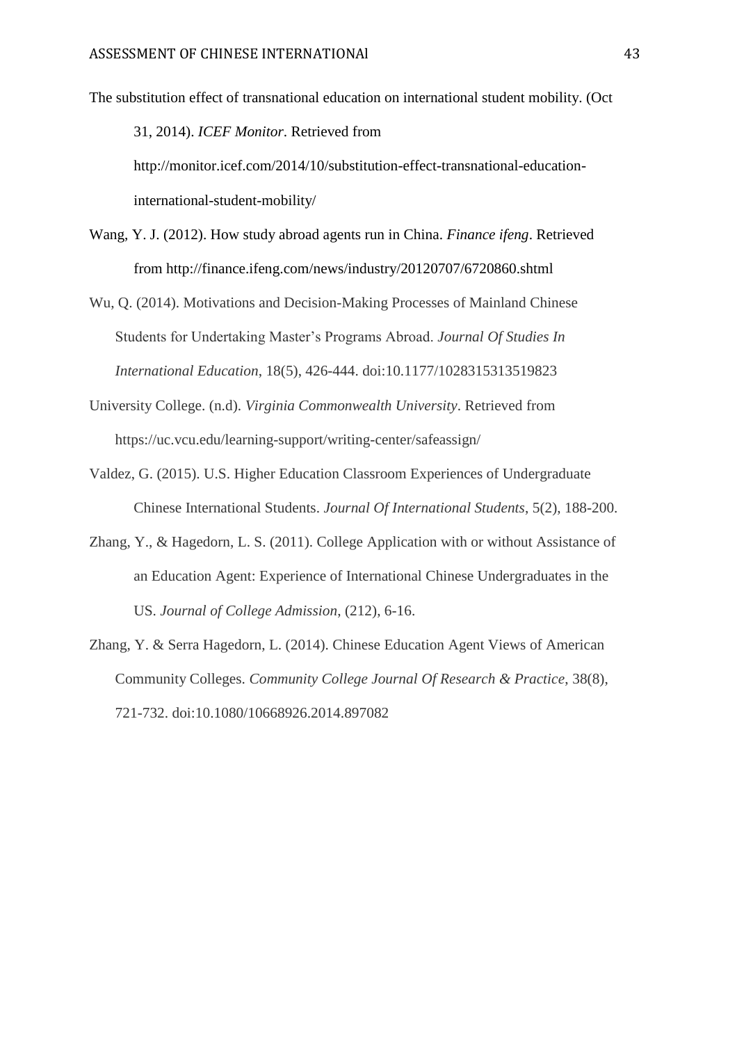The substitution effect of transnational education on international student mobility. (Oct

31, 2014). *ICEF Monitor*. Retrieved from

http://monitor.icef.com/2014/10/substitution-effect-transnational-educationinternational-student-mobility/

- Wang, Y. J. (2012). How study abroad agents run in China. *Finance ifeng*. Retrieved from http://finance.ifeng.com/news/industry/20120707/6720860.shtml
- Wu, Q. (2014). Motivations and Decision-Making Processes of Mainland Chinese Students for Undertaking Master's Programs Abroad. *Journal Of Studies In International Education*, 18(5), 426-444. doi:10.1177/1028315313519823
- University College. (n.d). *Virginia Commonwealth University*. Retrieved from https://uc.vcu.edu/learning-support/writing-center/safeassign/
- Valdez, G. (2015). U.S. Higher Education Classroom Experiences of Undergraduate Chinese International Students. *Journal Of International Students*, 5(2), 188-200.
- Zhang, Y., & Hagedorn, L. S. (2011). College Application with or without Assistance of an Education Agent: Experience of International Chinese Undergraduates in the US. *Journal of College Admission*, (212), 6-16.
- Zhang, Y. & Serra Hagedorn, L. (2014). Chinese Education Agent Views of American Community Colleges. *Community College Journal Of Research & Practice*, 38(8), 721-732. doi:10.1080/10668926.2014.897082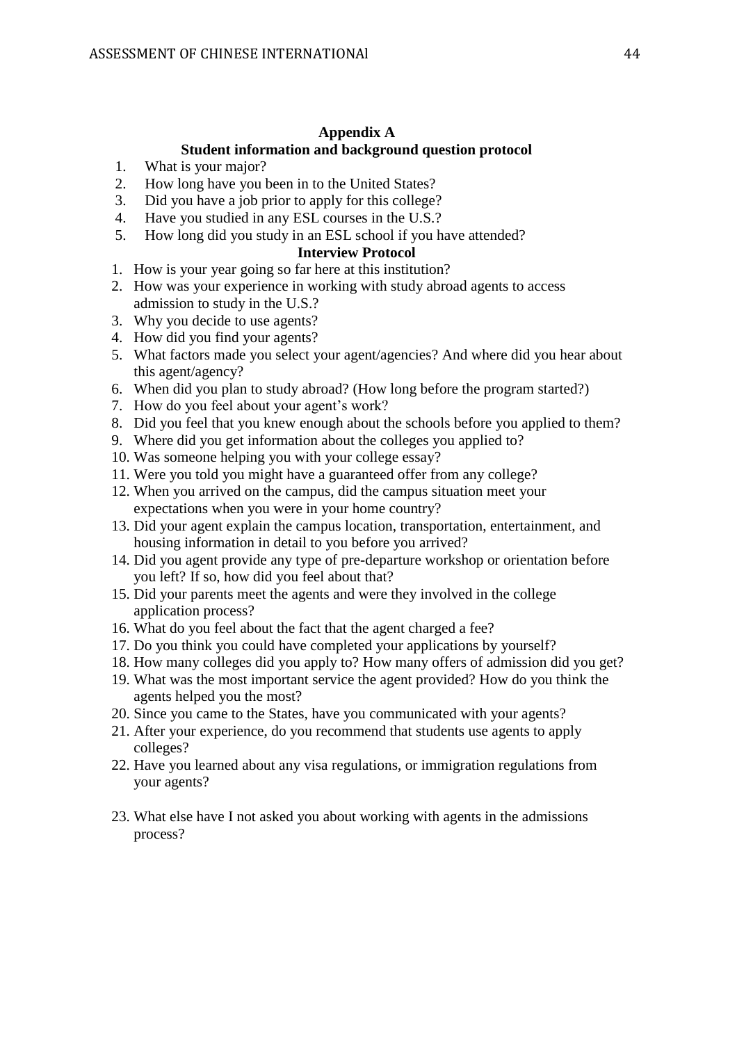# **Appendix A**

## **Student information and background question protocol**

- 1. What is your major?
- 2. How long have you been in to the United States?
- 3. Did you have a job prior to apply for this college?
- 4. Have you studied in any ESL courses in the U.S.?
- 5. How long did you study in an ESL school if you have attended?

# **Interview Protocol**

- 1. How is your year going so far here at this institution?
- 2. How was your experience in working with study abroad agents to access admission to study in the U.S.?
- 3. Why you decide to use agents?
- 4. How did you find your agents?
- 5. What factors made you select your agent/agencies? And where did you hear about this agent/agency?
- 6. When did you plan to study abroad? (How long before the program started?)
- 7. How do you feel about your agent's work?
- 8. Did you feel that you knew enough about the schools before you applied to them?
- 9. Where did you get information about the colleges you applied to?
- 10. Was someone helping you with your college essay?
- 11. Were you told you might have a guaranteed offer from any college?
- 12. When you arrived on the campus, did the campus situation meet your expectations when you were in your home country?
- 13. Did your agent explain the campus location, transportation, entertainment, and housing information in detail to you before you arrived?
- 14. Did you agent provide any type of pre-departure workshop or orientation before you left? If so, how did you feel about that?
- 15. Did your parents meet the agents and were they involved in the college application process?
- 16. What do you feel about the fact that the agent charged a fee?
- 17. Do you think you could have completed your applications by yourself?
- 18. How many colleges did you apply to? How many offers of admission did you get?
- 19. What was the most important service the agent provided? How do you think the agents helped you the most?
- 20. Since you came to the States, have you communicated with your agents?
- 21. After your experience, do you recommend that students use agents to apply colleges?
- 22. Have you learned about any visa regulations, or immigration regulations from your agents?
- 23. What else have I not asked you about working with agents in the admissions process?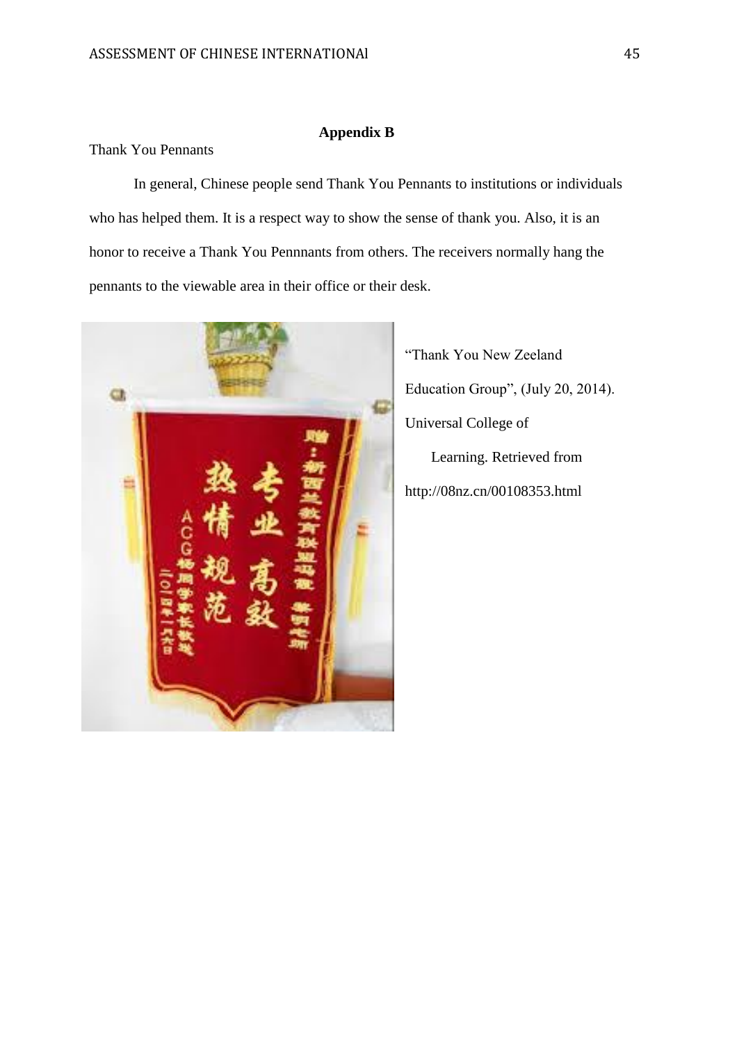## **Appendix B**

# Thank You Pennants

In general, Chinese people send Thank You Pennants to institutions or individuals who has helped them. It is a respect way to show the sense of thank you. Also, it is an honor to receive a Thank You Pennnants from others. The receivers normally hang the pennants to the viewable area in their office or their desk.



"Thank You New Zeeland Education Group", (July 20, 2014). Universal College of Learning. Retrieved from http://08nz.cn/00108353.html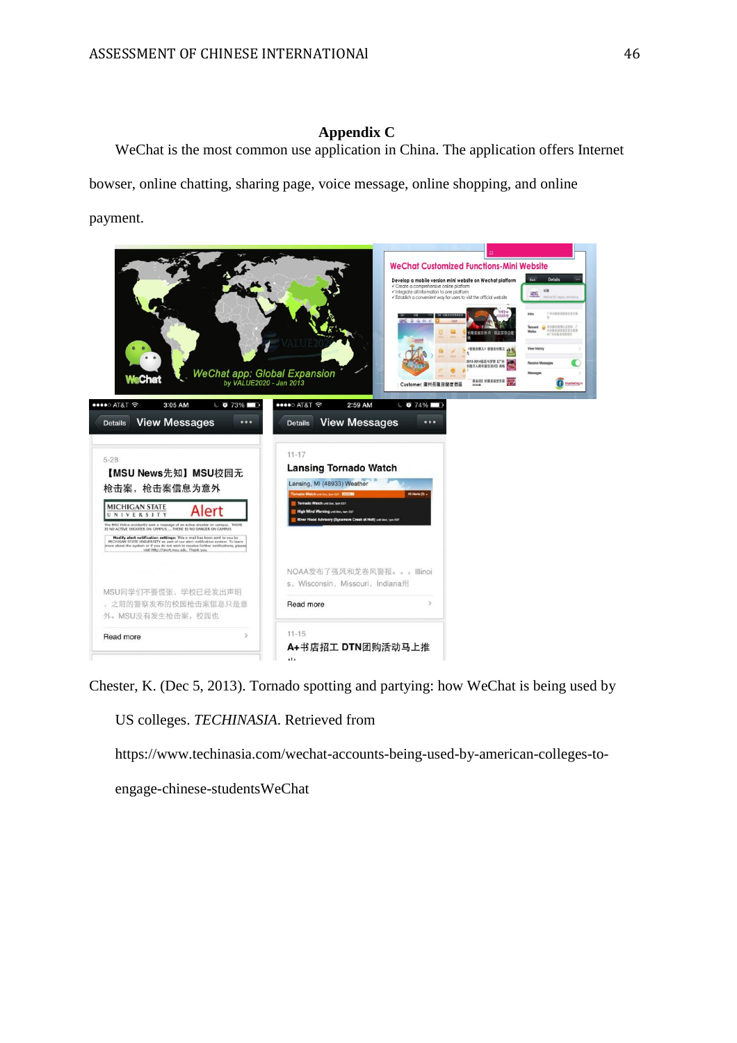## **Appendix C**

WeChat is the most common use application in China. The application offers Internet bowser, online chatting, sharing page, voice message, online shopping, and online payment.

**WeChat Customized Functions-Mini Website** Develop a mobile version mini website on Wechat platform  $22\%$ WeChat app: Global Expansion<br>by VALUE2020 - Jan 2013  $\bullet$ · 笑活动】长隆圣诞欢乐夜 er: 廣州長隆旅遊度假區 ••••○ AT&T <sup>~</sup> eseo ATR  $2:59$  AM 3:05 AM  $\bullet$  73%  $074\%$ Details View Messages Details View Messages  $11 - 17$  $5 - 28$ **Lansing Tornado Watch** 【MSU News先知】MSU校园无 Lansing, MI (48933) Weather 枪击案, 枪击案信息为意外 **MICHIGAN STATE** Alert **Modify alert notification settings:** This e-mail has been sent to you by MICHIGAN STATE UNIVERSITY as part of our alert notification system. To learn ore about the system of  $\pi$  you do not wish to receive further notifi NOAA发布了强风和龙卷风警报。。。Illinoi s, Wisconsin, Missouri, Indiana州. MSU同学们不要慌张,学校已经发出声明 , 之前的警察发布的校园枪击案信息只是意 Read more 外。MSU没有发生枪击案,校园也  $11 - 15$ Read more A+书店招工 DTN团购活动马上推

Chester, K. (Dec 5, 2013). Tornado spotting and partying: how WeChat is being used by

US colleges. *TECHINASIA*. Retrieved from

https://www.techinasia.com/wechat-accounts-being-used-by-american-colleges-to-

engage-chinese-studentsWeChat